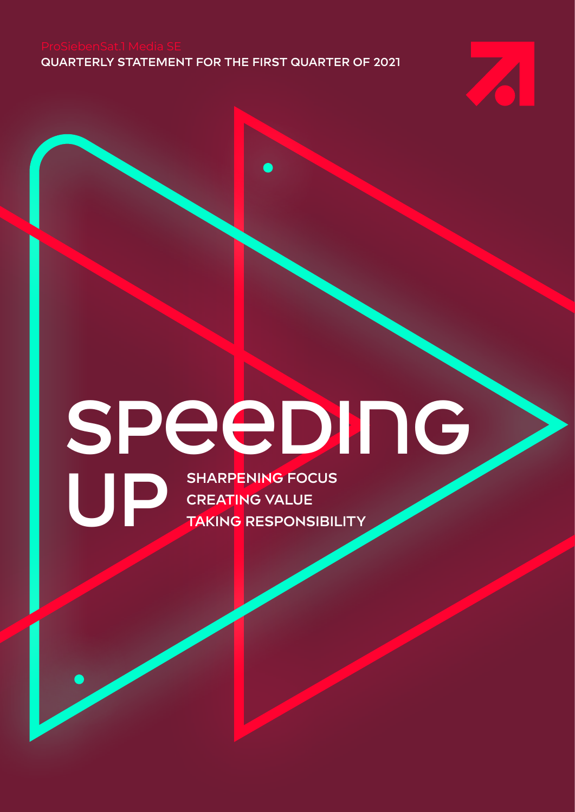**QUARTERLY STATEMENT FOR THE FIRST QUARTER OF 2021**



# **Speeding**

**UP** SHARPENING FOCUS<br>
CREATING VALUE<br>
TAKING RESPONSIBII **CREATING VALUE TAKING RESPONSIBILITY**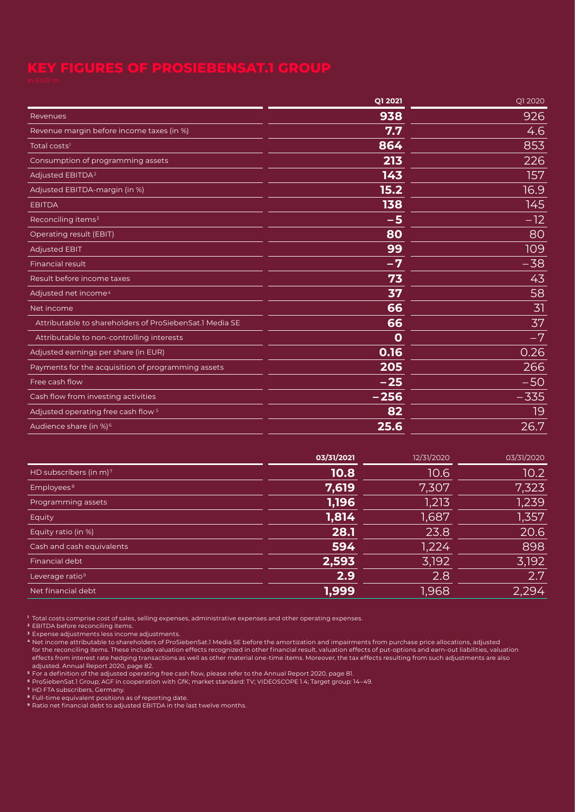<span id="page-1-0"></span>

| Q1 2021        | Q1 2020 |
|----------------|---------|
| 938            | 926     |
| 7.7            | 4.6     |
| 864            | 853     |
| 213            | 226     |
| 143            | 157     |
| 15.2           | 16.9    |
| 138            | 145     |
| $-5$           | $-12$   |
| 80             | 80      |
| 99             | 109     |
| $-7$           | $-38$   |
| 73             | 43      |
| 37             | 58      |
| 66             | 31      |
| 66             | 37      |
| $\overline{0}$ | $-7$    |
| 0.16           | 0.26    |
| 205            | 266     |
| $-25$          | $-50$   |
| $-256$         | $-335$  |
| 82             | 19      |
| 25.6           | 26.7    |
|                |         |

|                                    | 03/31/2021 | 12/31/2020 | 03/31/2020        |
|------------------------------------|------------|------------|-------------------|
| HD subscribers (in m) <sup>7</sup> | 10.8       | 10.6       | 10.2 <sub>1</sub> |
| Employees <sup>8</sup>             | 7,619      | 7,307      | 7,323             |
| Programming assets                 | 1,196      | 1,213      | 1,239             |
| Equity                             | 1,814      | 1,687      | 1,357             |
| Equity ratio (in %)                | 28.1       | 23.8       | 20.6              |
| Cash and cash equivalents          | 594        | 1,224      | 898               |
| Financial debt                     | 2,593      | 3,192      | 3,192             |
| Leverage ratio <sup>9</sup>        | 2.9        | 2.8        | 2.7               |
| Net financial debt                 | 1,999      | 1,968      | 2.294             |

**<sup>1</sup>** Total costs comprise cost of sales, selling expenses, administrative expenses and other operating expenses.

**<sup>3</sup>** Expense adjustments less income adjustments.

**<sup>4</sup>** Net income attributable to shareholders of ProSiebenSat.1 Media SE before the amortization and impairments from purchase price allocations, adjusted for the reconciling items. These include valuation effects recognized in other financial result, valuation effects of put-options and earn-out liabilities, valuation effects from interest rate hedging transactions as well as other material one-time items. Moreover, the tax effects resulting from such adjustments are also adjusted. Annual Report 2020, page 82.

**<sup>5</sup>** For a definition of the adjusted operating free cash flow, please refer to the Annual Report 2020, page 81.

**<sup>6</sup>** ProSiebenSat.1 Group; AGF in cooperation with GfK; market standard: TV; VIDEOSCOPE 1.4; Target group: 14–49.

**<sup>7</sup>** HD FTA subscribers, Germany.

**<sup>8</sup>** Full-time equivalent positions as of reporting date.

**<sup>9</sup>** Ratio net financial debt to adjusted EBITDA in the last twelve months.

**<sup>2</sup>** EBITDA before reconciling items.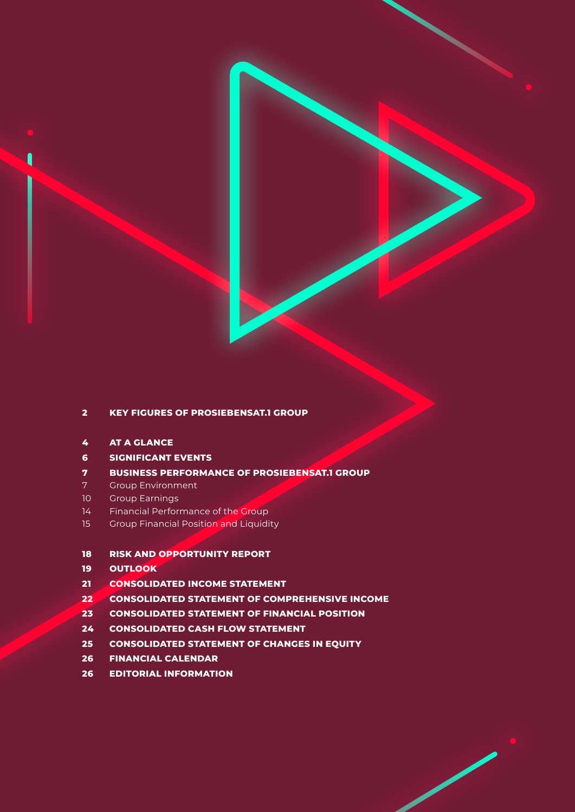

## **[KEY FIGURES OF PROSIEBENSAT.1 GROUP](#page-1-0)**

- **[AT A GLANCE](#page-3-0)**
- **[SIGNIFICANT EVENTS](#page-5-0)**
- **[BUSINESS PERFORMANCE OF PROSIEBENSAT.1 GROUP](#page-6-0)**
- [Group Environment](#page-6-1)
- [Group Earnings](#page-9-0)
- [Financial Performance of the Group](#page-13-0)
- [Group Financial Position and Liquidity](#page-14-0)

## **[RISK AND OPPORTUNITY REPORT](#page-17-0)**

- **[OUTLOOK](#page-18-0)**
- **[CONSOLIDATED INCOME STATEMENT](#page-20-0)**
- **[CONSOLIDATED STATEMENT OF COMPREHENSIVE INCOME](#page-21-0)**
- **[CONSOLIDATED STATEMENT OF FINANCIAL POSITION](#page-22-0)**
- **[CONSOLIDATED CASH FLOW STATEMENT](#page-23-0)**
- **[CONSOLIDATED STATEMENT OF CHANGES IN EQUITY](#page-24-0)**
- **[FINANCIAL CALENDAR](#page-25-0)**
- **[EDITORIAL INFORMATION](#page-25-0)**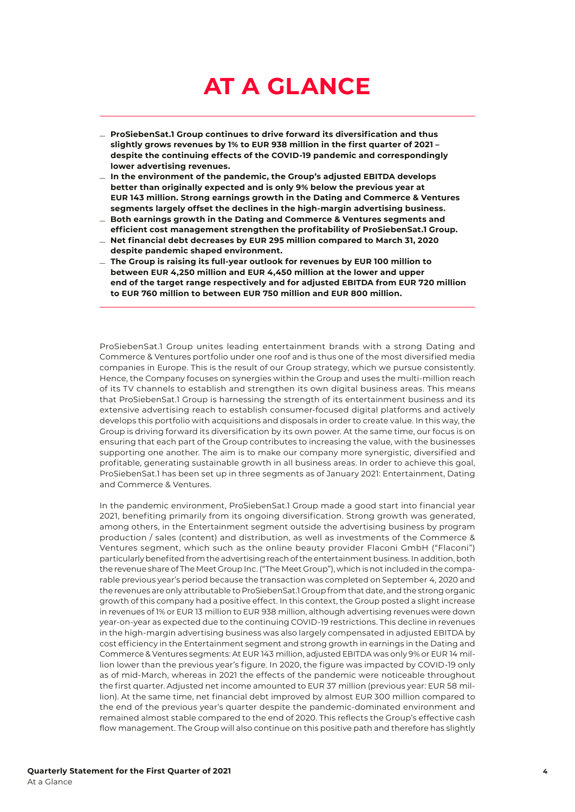# <span id="page-3-0"></span>**AT A GLANCE**

- \_ **ProSiebenSat.1 Group continues to drive forward its diversification and thus slightly grows revenues by 1% to EUR 938 million in the first quarter of 2021 – despite the continuing effects of the COVID-19 pandemic and correspondingly lower advertising revenues.**
- \_ **In the environment of the pandemic, the Group's adjusted EBITDA develops better than originally expected and is only 9% below the previous year at EUR 143 million. Strong earnings growth in the Dating and Commerce & Ventures segments largely offset the declines in the high-margin advertising business.** \_ **Both earnings growth in the Dating and Commerce & Ventures segments and**
- **efficient cost management strengthen the profitability of ProSiebenSat.1 Group.**
- \_ **Net financial debt decreases by EUR <sup>295</sup> million compared to March 31, <sup>2020</sup> despite pandemic shaped environment.**
- \_ **The Group is raising its full-year outlook for revenues by EUR <sup>100</sup> million to between EUR 4,250 million and EUR 4,450 million at the lower and upper end of the target range respectively and for adjusted EBITDA from EUR 720 million to EUR 760 million to between EUR 750 million and EUR 800 million.**

ProSiebenSat.1 Group unites leading entertainment brands with a strong Dating and Commerce & Ventures portfolio under one roof and is thus one of the most diversified media companies in Europe. This is the result of our Group strategy, which we pursue consistently. Hence, the Company focuses on synergies within the Group and uses the multi-million reach of its TV channels to establish and strengthen its own digital business areas. This means that ProSiebenSat.1 Group is harnessing the strength of its entertainment business and its extensive advertising reach to establish consumer-focused digital platforms and actively develops this portfolio with acquisitions and disposals in order to create value. In this way, the Group is driving forward its diversification by its own power. At the same time, our focus is on ensuring that each part of the Group contributes to increasing the value, with the businesses supporting one another. The aim is to make our company more synergistic, diversified and profitable, generating sustainable growth in all business areas. In order to achieve this goal, ProSiebenSat.1 has been set up in three segments as of January 2021: Entertainment, Dating and Commerce & Ventures.

In the pandemic environment, ProSiebenSat.1 Group made a good start into financial year 2021, benefiting primarily from its ongoing diversification. Strong growth was generated, among others, in the Entertainment segment outside the advertising business by program production / sales (content) and distribution, as well as investments of the Commerce & Ventures segment, which such as the online beauty provider Flaconi GmbH ("Flaconi") particularly benefited from the advertising reach of the entertainment business. In addition, both the revenue share of The Meet Group Inc. ("The Meet Group"), which is not included in the comparable previous year's period because the transaction was completed on September 4, 2020 and the revenues are only attributable to ProSiebenSat.1 Group from that date, and the strong organic growth of this company had a positive effect. In this context, the Group posted a slight increase in revenues of 1% or EUR 13 million to EUR 938 million, although advertising revenues were down year-on-year as expected due to the continuing COVID-19 restrictions. This decline in revenues in the high-margin advertising business was also largely compensated in adjusted EBITDA by cost efficiency in the Entertainment segment and strong growth in earnings in the Dating and Commerce & Ventures segments: At EUR 143 million, adjusted EBITDA was only 9% or EUR 14 million lower than the previous year's figure. In 2020, the figure was impacted by COVID-19 only as of mid-March, whereas in 2021 the effects of the pandemic were noticeable throughout the first quarter. Adjusted net income amounted to EUR 37 million (previous year: EUR 58 million). At the same time, net financial debt improved by almost EUR 300 million compared to the end of the previous year's quarter despite the pandemic-dominated environment and remained almost stable compared to the end of 2020. This reflects the Group's effective cash flow management. The Group will also continue on this positive path and therefore has slightly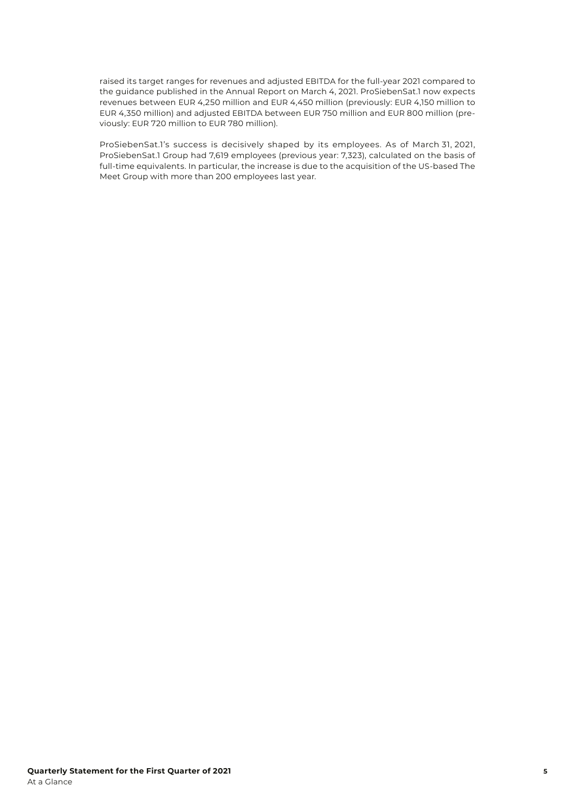raised its target ranges for revenues and adjusted EBITDA for the full-year 2021 compared to the guidance published in the Annual Report on March 4, 2021. ProSiebenSat.1 now expects revenues between EUR 4,250 million and EUR 4,450 million (previously: EUR 4,150 million to EUR 4,350 million) and adjusted EBITDA between EUR 750 million and EUR 800 million (previously: EUR 720 million to EUR 780 million).

ProSiebenSat.1's success is decisively shaped by its employees. As of March 31, 2021, ProSiebenSat.1 Group had 7,619 employees (previous year: 7,323), calculated on the basis of full-time equivalents. In particular, the increase is due to the acquisition of the US-based The Meet Group with more than 200 employees last year.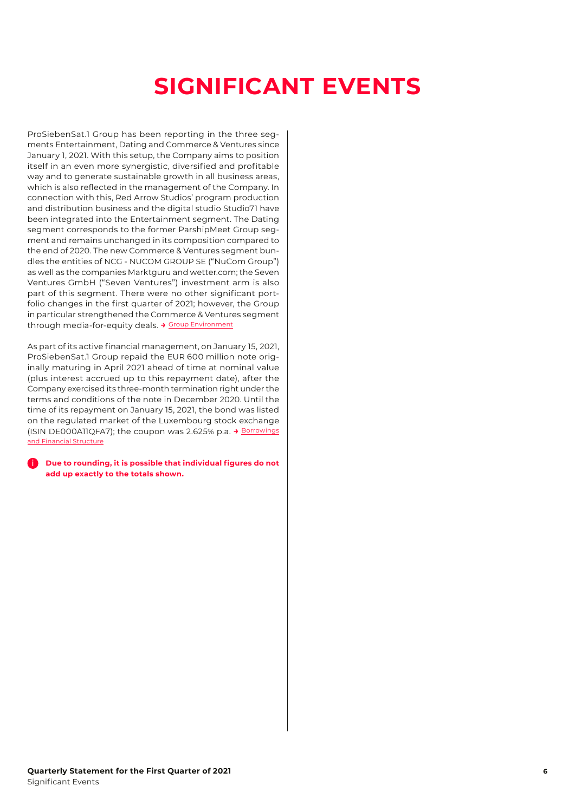# <span id="page-5-0"></span>**SIGNIFICANT EVENTS**

ProSiebenSat.1 Group has been reporting in the three segments Entertainment, Dating and Commerce & Ventures since January 1, 2021. With this setup, the Company aims to position itself in an even more synergistic, diversified and profitable way and to generate sustainable growth in all business areas, which is also reflected in the management of the Company. In connection with this, Red Arrow Studios' program production and distribution business and the digital studio Studio71 have been integrated into the Entertainment segment. The Dating segment corresponds to the former ParshipMeet Group segment and remains unchanged in its composition compared to the end of 2020. The new Commerce & Ventures segment bundles the entities of NCG - NUCOM GROUP SE ("NuCom Group") as well as the companies Marktguru and wetter.com; the Seven Ventures GmbH ("Seven Ventures") investment arm is also part of this segment. There were no other significant portfolio changes in the first quarter of 2021; however, the Group in particular strengthened the Commerce & Ventures segment through media-for-equity deals. **→** [Group Environment](#page-6-1)

As part of its active financial management, on January 15, 2021, ProSiebenSat.1 Group repaid the EUR 600 million note originally maturing in April 2021 ahead of time at nominal value (plus interest accrued up to this repayment date), after the Company exercised its three-month termination right under the terms and conditions of the note in December 2020. Until the time of its repayment on January 15, 2021, the bond was listed on the regulated market of the Luxembourg stock exchange (ISIN DE000A11QFA7); the coupon was 2.625% p.a. **→** [Borrowings](#page-14-1) [and Financial Structure](#page-14-1)

i **Due to rounding, it is possible that individual figures do not add up exactly to the totals shown.**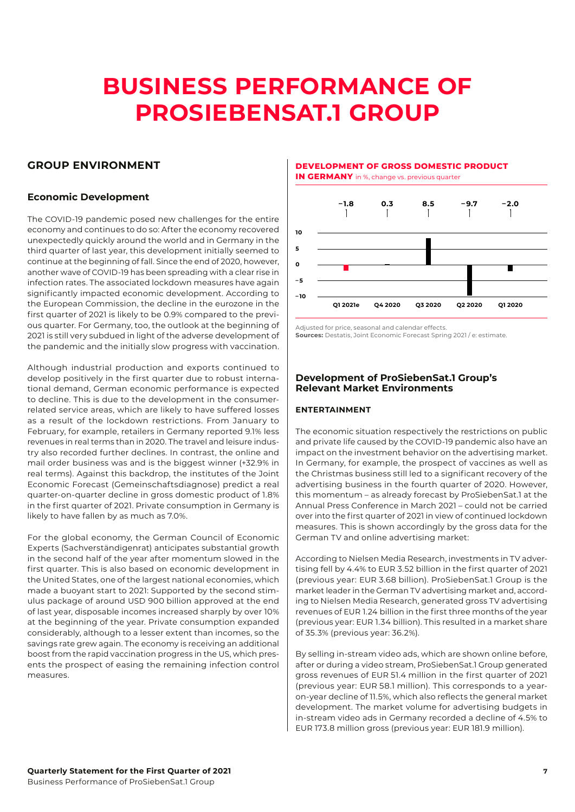# <span id="page-6-0"></span>**BUSINESS PERFORMANCE OF PROSIEBENSAT.1 GROUP**

## <span id="page-6-1"></span>**GROUP ENVIRONMENT**

## <span id="page-6-2"></span>**Economic Development**

The COVID-19 pandemic posed new challenges for the entire economy and continues to do so: After the economy recovered unexpectedly quickly around the world and in Germany in the third quarter of last year, this development initially seemed to continue at the beginning of fall. Since the end of 2020, however, another wave of COVID-19 has been spreading with a clear rise in infection rates. The associated lockdown measures have again significantly impacted economic development. According to the European Commission, the decline in the eurozone in the first quarter of 2021 is likely to be 0.9% compared to the previous quarter. For Germany, too, the outlook at the beginning of 2021 is still very subdued in light of the adverse development of the pandemic and the initially slow progress with vaccination.

Although industrial production and exports continued to develop positively in the first quarter due to robust international demand, German economic performance is expected to decline. This is due to the development in the consumerrelated service areas, which are likely to have suffered losses as a result of the lockdown restrictions. From January to February, for example, retailers in Germany reported 9.1% less revenues in real terms than in 2020. The travel and leisure industry also recorded further declines. In contrast, the online and mail order business was and is the biggest winner (+32.9% in real terms). Against this backdrop, the institutes of the Joint Economic Forecast (Gemeinschaftsdiagnose) predict a real quarter-on-quarter decline in gross domestic product of 1.8% in the first quarter of 2021. Private consumption in Germany is likely to have fallen by as much as 7.0%.

For the global economy, the German Council of Economic Experts (Sachverständigenrat) anticipates substantial growth in the second half of the year after momentum slowed in the first quarter. This is also based on economic development in the United States, one of the largest national economies, which made a buoyant start to 2021: Supported by the second stimulus package of around USD 900 billion approved at the end of last year, disposable incomes increased sharply by over 10% at the beginning of the year. Private consumption expanded considerably, although to a lesser extent than incomes, so the savings rate grew again. The economy is receiving an additional boost from the rapid vaccination progress in the US, which presents the prospect of easing the remaining infection control measures.

**DEVELOPMENT OF GROSS DOMESTIC PRODUCT IN GERMANY** in % change vs. previous quarter



Adjusted for price, seasonal and calendar effects. **Sources:** Destatis, Joint Economic Forecast Spring 2021 / e: estimate.

## **Development of ProSiebenSat.1 Group's Relevant Market Environments**

## **ENTERTAINMENT**

The economic situation respectively the restrictions on public and private life caused by the COVID-19 pandemic also have an impact on the investment behavior on the advertising market. In Germany, for example, the prospect of vaccines as well as the Christmas business still led to a significant recovery of the advertising business in the fourth quarter of 2020. However, this momentum – as already forecast by ProSiebenSat.1 at the Annual Press Conference in March 2021 – could not be carried over into the first quarter of 2021 in view of continued lockdown measures. This is shown accordingly by the gross data for the German TV and online advertising market:

According to Nielsen Media Research, investments in TV advertising fell by 4.4% to EUR 3.52 billion in the first quarter of 2021 (previous year: EUR 3.68 billion). ProSiebenSat.1 Group is the market leader in the German TV advertising market and, according to Nielsen Media Research, generated gross TV advertising revenues of EUR 1.24 billion in the first three months of the year (previous year: EUR 1.34 billion). This resulted in a market share of 35.3% (previous year: 36.2%).

By selling in-stream video ads, which are shown online before, after or during a video stream, ProSiebenSat.1 Group generated gross revenues of EUR 51.4 million in the first quarter of 2021 (previous year: EUR 58.1 million). This corresponds to a yearon-year decline of 11.5%, which also reflects the general market development. The market volume for advertising budgets in in-stream video ads in Germany recorded a decline of 4.5% to EUR 173.8 million gross (previous year: EUR 181.9 million).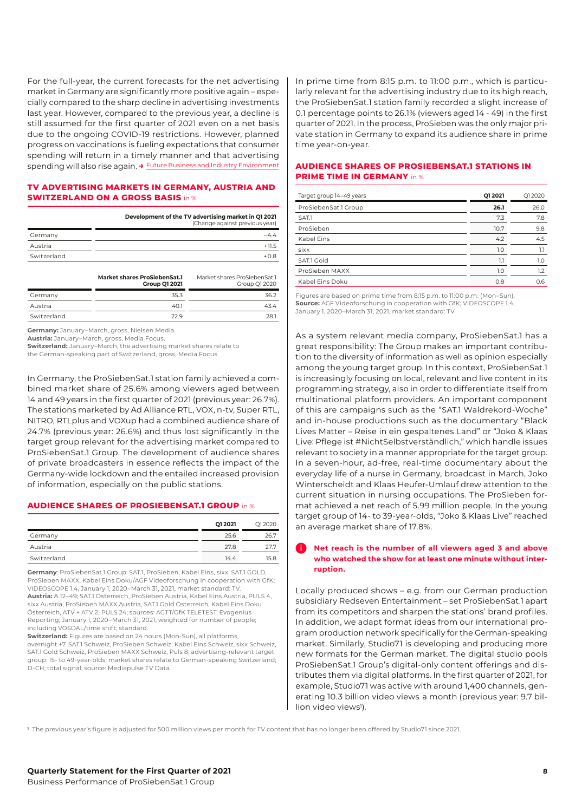For the full-year, the current forecasts for the net advertising market in Germany are significantly more positive again – especially compared to the sharp decline in advertising investments last year. However, compared to the previous year, a decline is still assumed for the first quarter of 2021 even on a net basis due to the ongoing COVID-19 restrictions. However, planned progress on vaccinations is fueling expectations that consumer spending will return in a timely manner and that advertising spending will also rise again. **→** [Future Business and Industry Environment](#page-18-1)

## **TV ADVERTISING MARKETS IN GERMANY, AUSTRIA AND SWITZERLAND ON A GROSS BASIS** in %

**Development of the TV advertising market in Q1 2021** 

|             | (Change against previous year) |
|-------------|--------------------------------|
| Germany     |                                |
| Austria     | $+11.5$                        |
| Switzerland | $+0.8$                         |
|             |                                |

|             | <b>Market shares ProSiebenSat.1</b><br><b>Group Q1 2021</b> | Market shares ProSiebenSat.1<br>Group Q1 2020 |
|-------------|-------------------------------------------------------------|-----------------------------------------------|
| Germany     | 35.3                                                        | 36.2                                          |
| Austria     | 40.1                                                        | 43.4                                          |
| Switzerland | 229                                                         | 28.1                                          |

**Germany:** January–March, gross, Nielsen Media.

**Austria:** January–March, gross, Media Focus.

**Switzerland:** January–March, the advertising market shares relate to the German-speaking part of Switzerland, gross, Media Focus.

In Germany, the ProSiebenSat.1 station family achieved a combined market share of 25.6% among viewers aged between 14 and 49 years in the first quarter of 2021 (previous year: 26.7%). The stations marketed by Ad Alliance RTL, VOX, n-tv, Super RTL, NITRO, RTLplus and VOXup had a combined audience share of 24.7% (previous year: 26.6%) and thus lost significantly in the target group relevant for the advertising market compared to ProSiebenSat.1 Group. The development of audience shares of private broadcasters in essence reflects the impact of the Germany-wide lockdown and the entailed increased provision of information, especially on the public stations.

## **AUDIENCE SHARES OF PROSIEBENSAT.1 GROUP** in %

|             | Q1 2021 | Q12020 |
|-------------|---------|--------|
| Germany     | 25.6    | 26.7   |
| Austria     | 27.8    | 27.7   |
| Switzerland | 14.4    | 15.8   |

**Germany**: ProSiebenSat.1 Group: SAT.1, ProSieben, Kabel Eins, sixx, SAT.1 GOLD, ProSieben MAXX, Kabel Eins Doku/AGF Videoforschung in cooperation with GfK; VIDEOSCOPE 1.4, January 1, 2020–March 31, 2021, market standard: TV. **Austria:** A 12–49; SAT.1 Österreich, ProSieben Austria, Kabel Eins Austria, PULS 4, sixx Austria, ProSieben MAXX Austria, SAT.1 Gold Österreich, Kabel Eins Doku Österreich, ATV + ATV 2, PULS 24; sources: AGTT/GfK TELETEST; Evogenius Reporting; January 1, 2020–March 31, 2021; weighted for number of people; including VOSDAL/time shift; standard.

**Switzerland:** Figures are based on 24 hours (Mon-Sun), all platforms, overnight +7. SAT.1 Schweiz, ProSieben Schweiz, Kabel Eins Schweiz, sixx Schweiz, SAT.1 Gold Schweiz, ProSieben MAXX Schweiz, Puls 8; advertising-relevant target group: 15- to 49-year-olds; market shares relate to German-speaking Switzerland; D-CH; total signal; source: Mediapulse TV Data.

In prime time from 8:15 p.m. to 11:00 p.m., which is particularly relevant for the advertising industry due to its high reach, the ProSiebenSat.1 station family recorded a slight increase of 0.1 percentage points to 26.1% (viewers aged 14 - 49) in the first quarter of 2021. In the process, ProSieben was the only major private station in Germany to expand its audience share in prime time year-on-year.

## **AUDIENCE SHARES OF PROSIEBENSAT.1 STATIONS IN PDIME TIME IN GEDMANY** in %

| Target group 14-49 years | Q1 2021 | Q12020 |
|--------------------------|---------|--------|
| ProSiebenSat.1 Group     | 26.1    | 26.0   |
| SAT.1                    | 7.3     | 7.8    |
| ProSieben                | 10.7    | 9.8    |
| Kabel Fins               | 4.2     | 4.5    |
| sixx                     | 1.0     | 1.1    |
| SAT.1 Gold               | 1.1     | 1.0    |
| ProSieben MAXX           | 1.0     | 1.2    |
| Kabel Eins Doku          | 0.8     | 0.6    |

Figures are based on prime time from 8:15 p.m. to 11:00 p.m. (Mon–Sun). **Source:** AGF Videoforschung in cooperation with GfK; VIDEOSCOPE 1.4, January 1, 2020–March 31, 2021, market standard: TV.

As a system relevant media company, ProSiebenSat.1 has a great responsibility: The Group makes an important contribution to the diversity of information as well as opinion especially among the young target group. In this context, ProSiebenSat.1 is increasingly focusing on local, relevant and live content in its programming strategy, also in order to differentiate itself from multinational platform providers. An important component of this are campaigns such as the "SAT.1 Waldrekord-Woche" and in-house productions such as the documentary "Black Lives Matter – Reise in ein gespaltenes Land" or "Joko & Klaas Live: Pflege ist #NichtSelbstverständlich," which handle issues relevant to society in a manner appropriate for the target group. In a seven-hour, ad-free, real-time documentary about the everyday life of a nurse in Germany, broadcast in March, Joko Winterscheidt and Klaas Heufer-Umlauf drew attention to the current situation in nursing occupations. The ProSieben format achieved a net reach of 5.99 million people. In the young target group of 14- to 39-year-olds, "Joko & Klaas Live" reached an average market share of 17.8%.

## i **Net reach is the number of all viewers aged 3 and above who watched the show for at least one minute without interruption.**

Locally produced shows – e.g. from our German production subsidiary Redseven Entertainment – set ProSiebenSat.1 apart from its competitors and sharpen the stations' brand profiles. In addition, we adapt format ideas from our international program production network specifically for the German-speaking market. Similarly, Studio71 is developing and producing more new formats for the German market. The digital studio pools ProSiebenSat.1 Group's digital-only content offerings and distributes them via digital platforms. In the first quarter of 2021, for example, Studio71 was active with around 1,400 channels, generating 10.3 billion video views a month (previous year: 9.7 billion video views<sup>1</sup>).

**<sup>1</sup>** The previous year's figure is adjusted for 500 million views per month for TV content that has no longer been offered by Studio71 since 2021.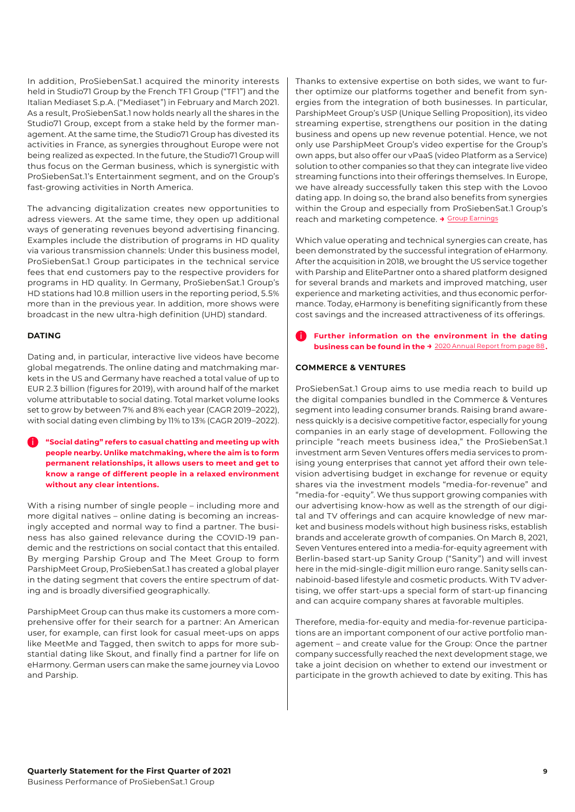In addition, ProSiebenSat.1 acquired the minority interests held in Studio71 Group by the French TF1 Group ("TF1") and the Italian Mediaset S.p.A. ("Mediaset") in February and March 2021. As a result, ProSiebenSat.1 now holds nearly all the shares in the Studio71 Group, except from a stake held by the former management. At the same time, the Studio71 Group has divested its activities in France, as synergies throughout Europe were not being realized as expected. In the future, the Studio71 Group will thus focus on the German business, which is synergistic with ProSiebenSat.1's Entertainment segment, and on the Group's fast-growing activities in North America.

The advancing digitalization creates new opportunities to adress viewers. At the same time, they open up additional ways of generating revenues beyond advertising financing. Examples include the distribution of programs in HD quality via various transmission channels: Under this business model, ProSiebenSat.1 Group participates in the technical service fees that end customers pay to the respective providers for programs in HD quality. In Germany, ProSiebenSat.1 Group's HD stations had 10.8 million users in the reporting period, 5.5% more than in the previous year. In addition, more shows were broadcast in the new ultra-high definition (UHD) standard.

## **DATING**

Dating and, in particular, interactive live videos have become global megatrends. The online dating and matchmaking markets in the US and Germany have reached a total value of up to EUR 2.3 billion (figures for 2019), with around half of the market volume attributable to social dating. Total market volume looks set to grow by between 7% and 8% each year (CAGR 2019–2022), with social dating even climbing by 11% to 13% (CAGR 2019–2022).

i **"Social dating" refers to casual chatting and meeting up with people nearby. Unlike matchmaking, where the aim is to form permanent relationships, it allows users to meet and get to know a range of different people in a relaxed environment without any clear intentions.**

With a rising number of single people – including more and more digital natives – online dating is becoming an increasingly accepted and normal way to find a partner. The business has also gained relevance during the COVID-19 pandemic and the restrictions on social contact that this entailed. By merging Parship Group and The Meet Group to form ParshipMeet Group, ProSiebenSat.1 has created a global player in the dating segment that covers the entire spectrum of dating and is broadly diversified geographically.

ParshipMeet Group can thus make its customers a more comprehensive offer for their search for a partner: An American user, for example, can first look for casual meet-ups on apps like MeetMe and Tagged, then switch to apps for more substantial dating like Skout, and finally find a partner for life on eHarmony. German users can make the same journey via Lovoo and Parship.

Thanks to extensive expertise on both sides, we want to further optimize our platforms together and benefit from synergies from the integration of both businesses. In particular, ParshipMeet Group's USP (Unique Selling Proposition), its video streaming expertise, strengthens our position in the dating business and opens up new revenue potential. Hence, we not only use ParshipMeet Group's video expertise for the Group's own apps, but also offer our vPaaS (video Platform as a Service) solution to other companies so that they can integrate live video streaming functions into their offerings themselves. In Europe, we have already successfully taken this step with the Lovoo dating app. In doing so, the brand also benefits from synergies within the Group and especially from ProSiebenSat.1 Group's reach and marketing competence. **→** [Group Earnings](#page-9-0)

Which value operating and technical synergies can create, has been demonstrated by the successful integration of eHarmony. After the acquisition in 2018, we brought the US service together with Parship and ElitePartner onto a shared platform designed for several brands and markets and improved matching, user experience and marketing activities, and thus economic performance. Today, eHarmony is benefiting significantly from these cost savings and the increased attractiveness of its offerings.

i **Further information on the environment in the dating business can be found in the →** [2020 Annual Report from page 88](https://annual-report2020.prosiebensat1.com/servicepages/downloads/files/group-environment-p7s1-ar20.pdf)**.**

## **COMMERCE & VENTURES**

ProSiebenSat.1 Group aims to use media reach to build up the digital companies bundled in the Commerce & Ventures segment into leading consumer brands. Raising brand awareness quickly is a decisive competitive factor, especially for young companies in an early stage of development. Following the principle "reach meets business idea," the ProSiebenSat.1 investment arm Seven Ventures offers media services to promising young enterprises that cannot yet afford their own television advertising budget in exchange for revenue or equity shares via the investment models "media-for-revenue" and "media-for -equity". We thus support growing companies with our advertising know-how as well as the strength of our digital and TV offerings and can acquire knowledge of new market and business models without high business risks, establish brands and accelerate growth of companies. On March 8, 2021, Seven Ventures entered into a media-for-equity agreement with Berlin-based start-up Sanity Group ("Sanity") and will invest here in the mid-single-digit million euro range. Sanity sells cannabinoid-based lifestyle and cosmetic products. With TV advertising, we offer start-ups a special form of start-up financing and can acquire company shares at favorable multiples.

Therefore, media-for-equity and media-for-revenue participations are an important component of our active portfolio management – and create value for the Group: Once the partner company successfully reached the next development stage, we take a joint decision on whether to extend our investment or participate in the growth achieved to date by exiting. This has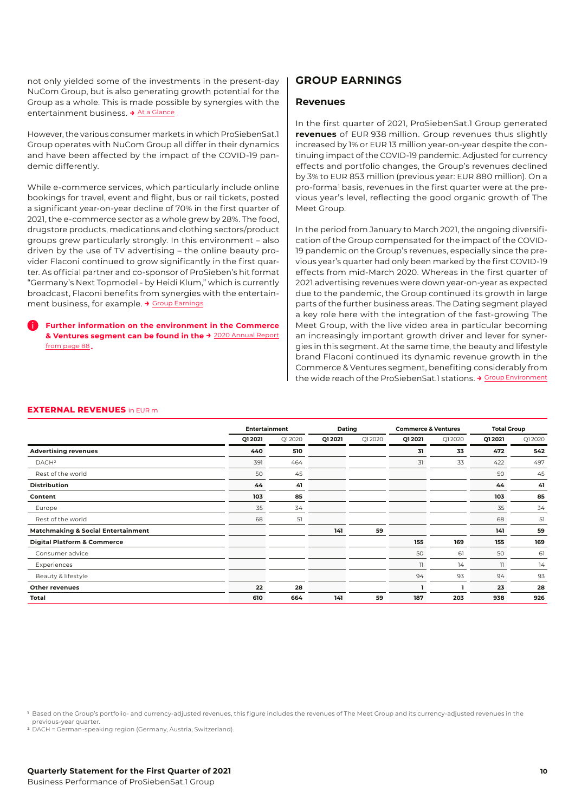not only yielded some of the investments in the present-day NuCom Group, but is also generating growth potential for the Group as a whole. This is made possible by synergies with the entertainment business. **→** [At a Glance](#page-3-0)

However, the various consumer markets in which ProSiebenSat.1 Group operates with NuCom Group all differ in their dynamics and have been affected by the impact of the COVID-19 pandemic differently.

While e-commerce services, which particularly include online bookings for travel, event and flight, bus or rail tickets, posted a significant year-on-year decline of 70% in the first quarter of 2021, the e-commerce sector as a whole grew by 28%. The food, drugstore products, medications and clothing sectors/product groups grew particularly strongly. In this environment – also driven by the use of TV advertising – the online beauty provider Flaconi continued to grow significantly in the first quarter. As official partner and co-sponsor of ProSieben's hit format "Germany's Next Topmodel - by Heidi Klum," which is currently broadcast, Flaconi benefits from synergies with the entertainment business, for example. **→** [Group Earnings](#page-9-0)

## i **Further information on the environment in the Commerce & Ventures segment can be found in the →** [2020 Annual Report](https://annual-report2020.prosiebensat1.com/servicepages/downloads/files/group-environment-p7s1-ar20.pdf) [from page 88](https://annual-report2020.prosiebensat1.com/servicepages/downloads/files/group-environment-p7s1-ar20.pdf)**.**

## <span id="page-9-0"></span>**GROUP EARNINGS**

## **Revenues**

In the first quarter of 2021, ProSiebenSat.1 Group generated **revenues** of EUR 938 million. Group revenues thus slightly increased by 1% or EUR 13 million year-on-year despite the continuing impact of the COVID-19 pandemic. Adjusted for currency effects and portfolio changes, the Group's revenues declined by 3% to EUR 853 million (previous year: EUR 880 million). On a pro-forma 1 basis, revenues in the first quarter were at the previous year's level, reflecting the good organic growth of The Meet Group.

In the period from January to March 2021, the ongoing diversification of the Group compensated for the impact of the COVID-19 pandemic on the Group's revenues, especially since the previous year's quarter had only been marked by the first COVID-19 effects from mid-March 2020. Whereas in the first quarter of 2021 advertising revenues were down year-on-year as expected due to the pandemic, the Group continued its growth in large parts of the further business areas. The Dating segment played a key role here with the integration of the fast-growing The Meet Group, with the live video area in particular becoming an increasingly important growth driver and lever for synergies in this segment. At the same time, the beauty and lifestyle brand Flaconi continued its dynamic revenue growth in the Commerce & Ventures segment, benefiting considerably from the wide reach of the ProSiebenSat.1 stations. **→** [Group Environment](#page-6-1)

## **EXTERNAL REVENUES** in EUR m

|                                               | <b>Entertainment</b> |          | Dating  |         | <b>Commerce &amp; Ventures</b> |        | <b>Total Group</b> |          |
|-----------------------------------------------|----------------------|----------|---------|---------|--------------------------------|--------|--------------------|----------|
|                                               | Q1 2021              | Q1 20 20 | Q1 2021 | Q1 2020 | Q1 2021                        | Q12020 | Q1 2021            | Q1 20 20 |
| <b>Advertising revenues</b>                   | 440                  | 510      |         |         | 31                             | 33     | 472                | 542      |
| DACH <sup>2</sup>                             | 391                  | 464      |         |         | 31                             | 33     | 422                | 497      |
| Rest of the world                             | 50                   | 45       |         |         |                                |        | 50                 | 45       |
| <b>Distribution</b>                           | 44                   | 41       |         |         |                                |        | 44                 | 41       |
| Content                                       | 103                  | 85       |         |         |                                |        | 103                | 85       |
| Europe                                        | 35                   | 34       |         |         |                                |        | 35                 | 34       |
| Rest of the world                             | 68                   | 51       |         |         |                                |        | 68                 | 51       |
| <b>Matchmaking &amp; Social Entertainment</b> |                      |          | 141     | 59      |                                |        | 141                | 59       |
| <b>Digital Platform &amp; Commerce</b>        |                      |          |         |         | 155                            | 169    | 155                | 169      |
| Consumer advice                               |                      |          |         |         | 50                             | 61     | 50                 | 61       |
| Experiences                                   |                      |          |         |         | 11                             | 14     | $\mathbb{I}$       | 14       |
| Beauty & lifestyle                            |                      |          |         |         | 94                             | 93     | 94                 | 93       |
| <b>Other revenues</b>                         | 22                   | 28       |         |         |                                |        | 23                 | 28       |
| Total                                         | 610                  | 664      | 141     | 59      | 187                            | 203    | 938                | 926      |

**<sup>1</sup>** Based on the Group's portfolio- and currency-adjusted revenues, this figure includes the revenues of The Meet Group and its currency-adjusted revenues in the previous-year quarter.

**<sup>2</sup>** DACH = German-speaking region (Germany, Austria, Switzerland).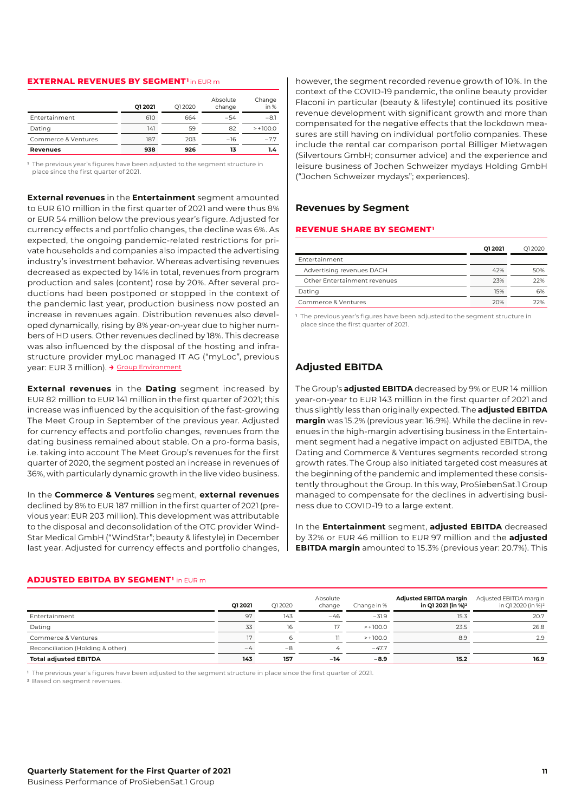#### **EXTERNAL REVENUES BY SEGMENT<sup>1</sup>**in EUR m

|                      | Q1 2021 | O1 2020 | Absolute<br>change | Change<br>in $%$ |
|----------------------|---------|---------|--------------------|------------------|
| <b>Entertainment</b> | 610     | 664     | $-54$              | $-8.1$           |
| Dating               | 141     | 59      | 82                 | $> +100.0$       |
| Commerce & Ventures  | 187     | 203     | $-16$              | $-7.7$           |
| <b>Revenues</b>      | 938     | 926     | 13                 | 1.4              |

**<sup>1</sup>** The previous year's figures have been adjusted to the segment structure in place since the first quarter of 2021.

**External revenues** in the **Entertainment** segment amounted to EUR 610 million in the first quarter of 2021 and were thus 8% or EUR 54 million below the previous year's figure. Adjusted for currency effects and portfolio changes, the decline was 6%. As expected, the ongoing pandemic-related restrictions for private households and companies also impacted the advertising industry's investment behavior. Whereas advertising revenues decreased as expected by 14% in total, revenues from program production and sales (content) rose by 20%. After several productions had been postponed or stopped in the context of the pandemic last year, production business now posted an increase in revenues again. Distribution revenues also developed dynamically, rising by 8% year-on-year due to higher numbers of HD users. Other revenues declined by 18%. This decrease was also influenced by the disposal of the hosting and infrastructure provider myLoc managed IT AG ("myLoc", previous year: EUR 3 million). **→** [Group Environment](#page-6-1)

**External revenues** in the **Dating** segment increased by EUR 82 million to EUR 141 million in the first quarter of 2021; this increase was influenced by the acquisition of the fast-growing The Meet Group in September of the previous year. Adjusted for currency effects and portfolio changes, revenues from the dating business remained about stable. On a pro-forma basis, i.e. taking into account The Meet Group's revenues for the first quarter of 2020, the segment posted an increase in revenues of 36%, with particularly dynamic growth in the live video business.

In the **Commerce & Ventures** segment, **external revenues** declined by 8% to EUR 187 million in the first quarter of 2021 (previous year: EUR 203 million). This development was attributable to the disposal and deconsolidation of the OTC provider Wind-Star Medical GmbH ("WindStar"; beauty & lifestyle) in December last year. Adjusted for currency effects and portfolio changes,

however, the segment recorded revenue growth of 10%. In the context of the COVID-19 pandemic, the online beauty provider Flaconi in particular (beauty & lifestyle) continued its positive revenue development with significant growth and more than compensated for the negative effects that the lockdown measures are still having on individual portfolio companies. These include the rental car comparison portal Billiger Mietwagen (Silvertours GmbH; consumer advice) and the experience and leisure business of Jochen Schweizer mydays Holding GmbH ("Jochen Schweizer mydays"; experiences).

## **Revenues by Segment**

#### **REVENUE SHARE BY SEGMENT<sup>1</sup>**

|                              | 01 20 21 | 012020 |
|------------------------------|----------|--------|
| <b>Entertainment</b>         |          |        |
| Advertising revenues DACH    | 42%      | 50%    |
| Other Entertainment revenues | 23%      | 22%    |
| Dating                       | 15%      | 6%     |
| Commerce & Ventures          | 20%      | 22%    |

**<sup>1</sup>** The previous year's figures have been adjusted to the segment structure in place since the first quarter of 2021.

## **Adjusted EBITDA**

The Group's **adjusted EBITDA** decreased by 9% or EUR 14 million year-on-year to EUR 143 million in the first quarter of 2021 and thus slightly less than originally expected. The **adjusted EBITDA margin** was 15.2% (previous year: 16.9%). While the decline in revenues in the high-margin advertising business in the Entertainment segment had a negative impact on adjusted EBITDA, the Dating and Commerce & Ventures segments recorded strong growth rates. The Group also initiated targeted cost measures at the beginning of the pandemic and implemented these consistently throughout the Group. In this way, ProSiebenSat.1 Group managed to compensate for the declines in advertising business due to COVID-19 to a large extent.

In the **Entertainment** segment, **adjusted EBITDA** decreased by 32% or EUR 46 million to EUR 97 million and the **adjusted EBITDA margin** amounted to 15.3% (previous year: 20.7%). This

|                                  | 012021 | O1 2020 | Absolute<br>change | Change in % | <b>Adjusted EBITDA margin</b><br>in Q1 2021 (in %) <sup>2</sup> | Adjusted EBITDA margin<br>in Q1 2020 (in %) <sup>2</sup> |
|----------------------------------|--------|---------|--------------------|-------------|-----------------------------------------------------------------|----------------------------------------------------------|
| Entertainment                    | 97     | 143     | $-46$              | $-31.9$     | 15.3                                                            | 20.7                                                     |
| Dating                           | 33     | 16      | 17                 | $> +100.0$  | 23.5                                                            | 26.8                                                     |
| Commerce & Ventures              |        |         |                    | $> +100.0$  | 8.9                                                             | 2.9                                                      |
| Reconciliation (Holding & other) | $-4$   | $-8$    |                    | $-47.7$     |                                                                 |                                                          |
| <b>Total adjusted EBITDA</b>     | 143    | 157     | -14                | $-8.9$      | 15.2                                                            | 16.9                                                     |

## **ADJUSTED EBITDA BY SEGMENT<sup>1</sup>** in EUR m

**<sup>1</sup>** The previous year's figures have been adjusted to the segment structure in place since the first quarter of 2021.

**<sup>2</sup>** Based on segment revenues.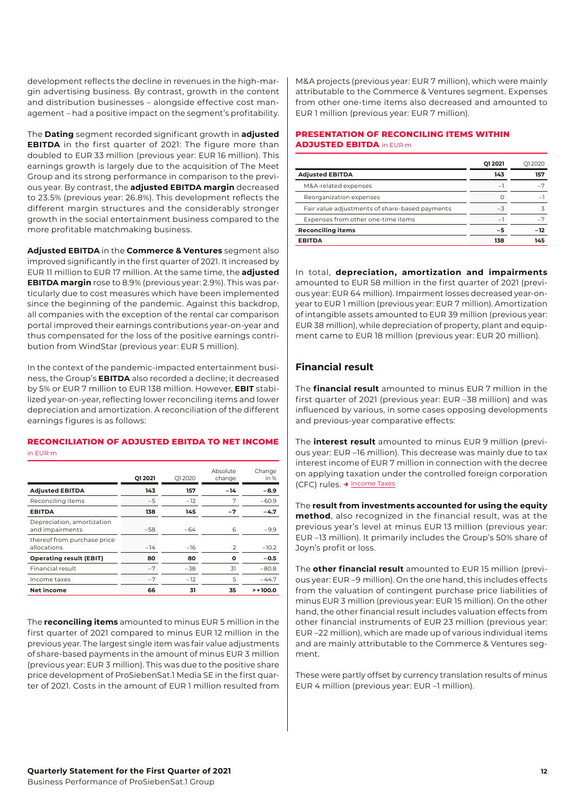development reflects the decline in revenues in the high-margin advertising business. By contrast, growth in the content and distribution businesses – alongside effective cost management – had a positive impact on the segment's profitability.

The **Dating** segment recorded significant growth in **adjusted EBITDA** in the first quarter of 2021: The figure more than doubled to EUR 33 million (previous year: EUR 16 million). This earnings growth is largely due to the acquisition of The Meet Group and its strong performance in comparison to the previous year. By contrast, the **adjusted EBITDA margin** decreased to 23.5% (previous year: 26.8%). This development reflects the different margin structures and the considerably stronger growth in the social entertainment business compared to the more profitable matchmaking business.

**Adjusted EBITDA** in the **Commerce & Ventures** segment also improved significantly in the first quarter of 2021. It increased by EUR 11 million to EUR 17 million. At the same time, the **adjusted EBITDA margin** rose to 8.9% (previous year: 2.9%). This was particularly due to cost measures which have been implemented since the beginning of the pandemic. Against this backdrop, all companies with the exception of the rental car comparison portal improved their earnings contributions year-on-year and thus compensated for the loss of the positive earnings contribution from WindStar (previous year: EUR 5 million).

In the context of the pandemic-impacted entertainment business, the Group's **EBITDA** also recorded a decline; it decreased by 5% or EUR 7 million to EUR 138 million. However, **EBIT** stabilized year-on-year, reflecting lower reconciling items and lower depreciation and amortization. A reconciliation of the different earnings figures is as follows:

## **RECONCILIATION OF ADJUSTED EBITDA TO NET INCOME**  in EUR m

|                                               | 012021 | O12020 | Absolute<br>change | Change<br>in $%$ |
|-----------------------------------------------|--------|--------|--------------------|------------------|
| <b>Adjusted EBITDA</b>                        | 143    | 157    | $-14$              | $-8.9$           |
| Reconciling items                             | $-5$   | $-12$  | 7                  | $-60.9$          |
| <b>EBITDA</b>                                 | 138    | 145    | $-7$               | $-4.7$           |
| Depreciation, amortization<br>and impairments | $-58$  | $-64$  | 6                  | $-9.9$           |
| thereof from purchase price<br>allocations    | $-14$  | $-16$  | $\mathcal{P}$      | $-10.2$          |
| <b>Operating result (EBIT)</b>                | 80     | 80     | ი                  | $-0.5$           |
| Financial result                              | $-7$   | $-38$  | 31                 | $-80.8$          |
| Income taxes                                  | $-7$   | $-12$  | 5                  | $-44.7$          |
| Net income                                    | 66     | 31     | 35                 | $> +100.0$       |

The **reconciling items** amounted to minus EUR 5 million in the first quarter of 2021 compared to minus EUR 12 million in the previous year. The largest single item was fair value adjustments of share-based payments in the amount of minus EUR 3 million (previous year: EUR 3 million). This was due to the positive share price development of ProSiebenSat.1 Media SE in the first quarter of 2021. Costs in the amount of EUR 1 million resulted from

M&A projects (previous year: EUR 7 million), which were mainly attributable to the Commerce & Ventures segment. Expenses from other one-time items also decreased and amounted to EUR 1 million (previous year: EUR 7 million).

## **PRESENTATION OF RECONCILING ITEMS WITHIN ADJUSTED EBITDA** in EUR m

|                                                | 012021   | O12020 |
|------------------------------------------------|----------|--------|
| <b>Adjusted EBITDA</b>                         | 143      | 157    |
| M&A-related expenses                           | $\equiv$ |        |
| Reorganization expenses                        |          |        |
| Fair value adjustments of share-based payments | $-3$     |        |
| Expenses from other one-time items             | $-$      |        |
| <b>Reconciling items</b>                       | -5       | $-12$  |
| <b>EBITDA</b>                                  | 138      | 145    |

In total, **depreciation, amortization and impairments** amounted to EUR 58 million in the first quarter of 2021 (previous year: EUR 64 million). Impairment losses decreased year-onyear to EUR 1 million (previous year: EUR 7 million). Amortization of intangible assets amounted to EUR 39 million (previous year: EUR 38 million), while depreciation of property, plant and equipment came to EUR 18 million (previous year: EUR 20 million).

## **Financial result**

The **financial result** amounted to minus EUR 7 million in the first quarter of 2021 (previous year: EUR –38 million) and was influenced by various, in some cases opposing developments and previous-year comparative effects:

The **interest result** amounted to minus EUR 9 million (previous year: EUR –16 million). This decrease was mainly due to tax interest income of EUR 7 million in connection with the decree on applying taxation under the controlled foreign corporation (CFC) rules. **→** [Income Taxes](#page-12-0)

The **result from investments accounted for using the equity method**, also recognized in the financial result, was at the previous year's level at minus EUR 13 million (previous year: EUR –13 million). It primarily includes the Group's 50% share of Joyn's profit or loss.

The **other financial result** amounted to EUR 15 million (previous year: EUR –9 million). On the one hand, this includes effects from the valuation of contingent purchase price liabilities of minus EUR 3 million (previous year: EUR 15 million). On the other hand, the other financial result includes valuation effects from other financial instruments of EUR 23 million (previous year: EUR –22 million), which are made up of various individual items and are mainly attributable to the Commerce & Ventures segment.

These were partly offset by currency translation results of minus EUR 4 million (previous year: EUR –1 million).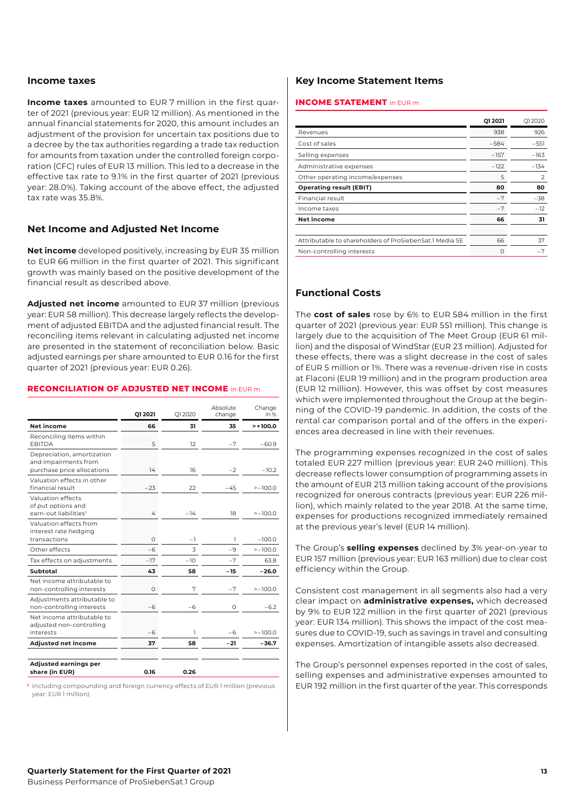## <span id="page-12-0"></span>**Income taxes**

**Income taxes** amounted to EUR 7 million in the first quarter of 2021 (previous year: EUR 12 million). As mentioned in the annual financial statements for 2020, this amount includes an adjustment of the provision for uncertain tax positions due to a decree by the tax authorities regarding a trade tax reduction for amounts from taxation under the controlled foreign corporation (CFC) rules of EUR 13 million. This led to a decrease in the effective tax rate to 9.1% in the first quarter of 2021 (previous year: 28.0%). Taking account of the above effect, the adjusted tax rate was 35.8%.

## **Net Income and Adjusted Net Income**

**Net income** developed positively, increasing by EUR 35 million to EUR 66 million in the first quarter of 2021. This significant growth was mainly based on the positive development of the financial result as described above.

**Adjusted net income** amounted to EUR 37 million (previous year: EUR 58 million). This decrease largely reflects the development of adjusted EBITDA and the adjusted financial result. The reconciling items relevant in calculating adjusted net income are presented in the statement of reconciliation below. Basic adjusted earnings per share amounted to EUR 0.16 for the first quarter of 2021 (previous year: EUR 0.26).

#### **RECONCILIATION OF ADJUSTED NET INCOME** in EUR m

|                                                                                  | Q1 2021 | Q1 2020 | Absolute<br>change | Change<br>in % |
|----------------------------------------------------------------------------------|---------|---------|--------------------|----------------|
| Net income                                                                       | 66      | 31      | 35                 | $> +100.0$     |
| Reconciling items within<br><b>EBITDA</b>                                        | 5       | 12      | $-7$               | $-60.9$        |
| Depreciation, amortization<br>and impairments from<br>purchase price allocations | 14      | 16      | $-2$               | $-10.2$        |
| Valuation effects in other<br>financial result                                   | $-23$   | 22      | $-45$              | $> -100.0$     |
| Valuation effects<br>of put options and<br>earn-out liabilities <sup>1</sup>     | 4       | $-14$   | 18                 | $> -100.0$     |
| Valuation effects from<br>interest rate hedging<br>transactions                  | O       | -1      | 1                  | $-100.0$       |
| Other effects                                                                    | $-6$    | 3       | $-9$               | $> -100.0$     |
| Tax effects on adjustments                                                       | $-17$   | $-10$   | $-7$               | 63.8           |
| Subtotal                                                                         | 43      | 58      | $-15$              | $-26.0$        |
| Net income attributable to<br>non-controlling interests                          | O       | 7       | $-7$               | $> -100.0$     |
| Adjustments attributable to<br>non-controlling interests                         | -6      | -6      | 0                  | $-6.2$         |
| Net income attributable to<br>adjusted non-controlling<br>interests              | -6      | ı       | -6                 | $> -100.0$     |
| <b>Adjusted net income</b>                                                       | 37      | 58      | $-21$              | $-36.7$        |
| <b>Adjusted earnings per</b><br>share (in EUR)                                   | 0.16    | 0.26    |                    |                |

**<sup>1</sup>** Including compounding and foreign currency effects of EUR 1 million (previous year: EUR 1 million).

## **Key Income Statement Items**

### **INCOME STATEMENT** in EUR m

|                                                         | 012021   | O12020        |
|---------------------------------------------------------|----------|---------------|
| Revenues                                                | 938      | 926           |
| Cost of sales                                           | $-584$   | $-551$        |
| Selling expenses                                        | $-157$   | $-163$        |
| Administrative expenses                                 | $-122$   | $-134$        |
| Other operating income/expenses                         | 5        | $\mathcal{P}$ |
| <b>Operating result (EBIT)</b>                          | 80       | 80            |
| Financial result                                        | $-7$     | $-38$         |
| Income taxes                                            | $-7$     | $-12$         |
| <b>Net income</b>                                       | 66       | 31            |
|                                                         |          |               |
| Attributable to shareholders of ProSiebenSat.1 Media SF | 66       | 37            |
| Non-controlling interests                               | $\Omega$ | $-7$          |

## **Functional Costs**

The **cost of sales** rose by 6% to EUR 584 million in the first quarter of 2021 (previous year: EUR 551 million). This change is largely due to the acquisition of The Meet Group (EUR 61 million) and the disposal of WindStar (EUR 23 million). Adjusted for these effects, there was a slight decrease in the cost of sales of EUR 5 million or 1%. There was a revenue-driven rise in costs at Flaconi (EUR 19 million) and in the program production area (EUR 12 million). However, this was offset by cost measures which were implemented throughout the Group at the beginning of the COVID-19 pandemic. In addition, the costs of the rental car comparison portal and of the offers in the experiences area decreased in line with their revenues.

The programming expenses recognized in the cost of sales totaled EUR 227 million (previous year: EUR 240 million). This decrease reflects lower consumption of programming assets in the amount of EUR 213 million taking account of the provisions recognized for onerous contracts (previous year: EUR 226 million), which mainly related to the year 2018. At the same time, expenses for productions recognized immediately remained at the previous year's level (EUR 14 million).

The Group's **selling expenses** declined by 3% year-on-year to EUR 157 million (previous year: EUR 163 million) due to clear cost efficiency within the Group.

Consistent cost management in all segments also had a very clear impact on **administrative expenses,** which decreased by 9% to EUR 122 million in the first quarter of 2021 (previous year: EUR 134 million). This shows the impact of the cost measures due to COVID-19, such as savings in travel and consulting expenses. Amortization of intangible assets also decreased.

The Group's personnel expenses reported in the cost of sales, selling expenses and administrative expenses amounted to EUR 192 million in the first quarter of the year. This corresponds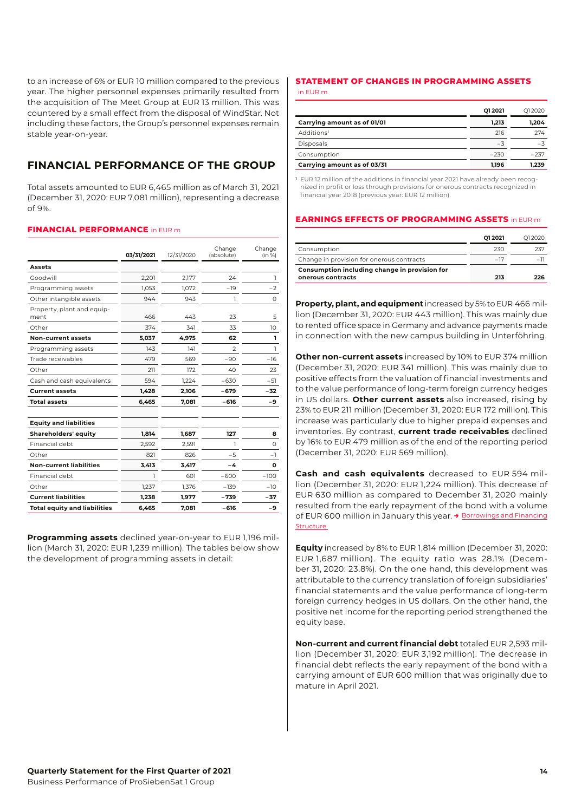to an increase of 6% or EUR 10 million compared to the previous year. The higher personnel expenses primarily resulted from the acquisition of The Meet Group at EUR 13 million. This was countered by a small effect from the disposal of WindStar. Not including these factors, the Group's personnel expenses remain stable year-on-year.

## <span id="page-13-0"></span>**FINANCIAL PERFORMANCE OF THE GROUP**

Total assets amounted to EUR 6,465 million as of March 31, 2021 (December 31, 2020: EUR 7,081 million), representing a decrease of 9%.

## **FINANCIAL PERFORMANCE** in EUR m

|                                     | 03/31/2021 | 12/31/2020 | Change<br>(absolute) | Change<br>(in %) |
|-------------------------------------|------------|------------|----------------------|------------------|
| Assets                              |            |            |                      |                  |
| Goodwill                            | 2,201      | 2,177      | 24                   | ı                |
| Programming assets                  | 1,053      | 1,072      | $-19$                | $-2$             |
| Other intangible assets             | 944        | 943        | ı                    | 0                |
| Property, plant and equip-<br>ment  | 466        | 443        | 23                   | 5                |
| Other                               | 374        | 341        | 33                   | 10               |
| <b>Non-current assets</b>           | 5,037      | 4,975      | 62                   | ı                |
| Programming assets                  | 143        | 141        | $\mathcal{P}$        | ı                |
| Trade receivables                   | 479        | 569        | $-90$                | $-16$            |
| Other                               | 211        | 172        | 40                   | 23               |
| Cash and cash equivalents           | 594        | 1.224      | $-630$               | $-51$            |
| <b>Current assets</b>               | 1.428      | 2,106      | $-679$               | $-32$            |
| <b>Total assets</b>                 | 6.465      | 7.081      | $-616$               | -9               |
| <b>Equity and liabilities</b>       |            |            |                      |                  |
| Shareholders' equity                | 1,814      | 1,687      | 127                  | 8                |
| Financial debt                      | 2,592      | 2,591      | ı                    | $\Omega$         |
| Other                               | 821        | 826        | $-5$                 | -1               |
| <b>Non-current liabilities</b>      | 3,413      | 3,417      | -4                   | O                |
| Financial debt                      | ٦          | 601        | $-600$               | $-100$           |
| Other                               | 1,237      | 1,376      | $-139$               | $-10$            |
| <b>Current liabilities</b>          | 1,238      | 1,977      | $-739$               | $-37$            |
| <b>Total equity and liabilities</b> | 6,465      | 7,081      | $-616$               | -9               |

**Programming assets** declined year-on-year to EUR 1,196 million (March 31, 2020: EUR 1,239 million). The tables below show the development of programming assets in detail:

## **STATEMENT OF CHANGES IN PROGRAMMING ASSETS**

|                             | 012021 | 012020 |
|-----------------------------|--------|--------|
| Carrying amount as of 01/01 | 1.213  | 1.204  |
| Additions <sup>1</sup>      | 216    | 274    |
| Disposals                   | $-3$   | $-7$   |
| Consumption                 | $-230$ | $-237$ |
| Carrying amount as of 03/31 | 1.196  | 1.239  |

**<sup>1</sup>** EUR 12 million of the additions in financial year 2021 have already been recognized in profit or loss through provisions for onerous contracts recognized in financial year 2018 (previous year: EUR 12 million).

#### **EARNINGS EFFECTS OF PROGRAMMING ASSETS** in EUR m

|                                                                    | 01 20 21 | 012020 |
|--------------------------------------------------------------------|----------|--------|
| Consumption                                                        | 230      | 237    |
| Change in provision for onerous contracts                          | $-17$    | -1     |
| Consumption including change in provision for<br>onerous contracts | 213      | つつに    |

**Property, plant, and equipment** increased by 5% to EUR 466 million (December 31, 2020: EUR 443 million). This was mainly due to rented office space in Germany and advance payments made in connection with the new campus building in Unterföhring.

**Other non-current assets** increased by 10% to EUR 374 million (December 31, 2020: EUR 341 million). This was mainly due to positive effects from the valuation of financial investments and to the value performance of long-term foreign currency hedges in US dollars. **Other current assets** also increased, rising by 23% to EUR 211 million (December 31, 2020: EUR 172 million). This increase was particularly due to higher prepaid expenses and inventories. By contrast, **current trade receivables** declined by 16% to EUR 479 million as of the end of the reporting period (December 31, 2020: EUR 569 million).

**Cash and cash equivalents** decreased to EUR 594 million (December 31, 2020: EUR 1,224 million). This decrease of EUR 630 million as compared to December 31, 2020 mainly resulted from the early repayment of the bond with a volume of EUR 600 million in January this year. **→** [Borrowings and Financing](#page-14-1)  **Structure** 

**Equity** increased by 8% to EUR 1,814 million (December 31, 2020: EUR 1,687 million). The equity ratio was 28.1% (December 31, 2020: 23.8%). On the one hand, this development was attributable to the currency translation of foreign subsidiaries' financial statements and the value performance of long-term foreign currency hedges in US dollars. On the other hand, the positive net income for the reporting period strengthened the equity base.

**Non-current and current financial debt** totaled EUR 2,593 million (December 31, 2020: EUR 3,192 million). The decrease in financial debt reflects the early repayment of the bond with a carrying amount of EUR 600 million that was originally due to mature in April 2021.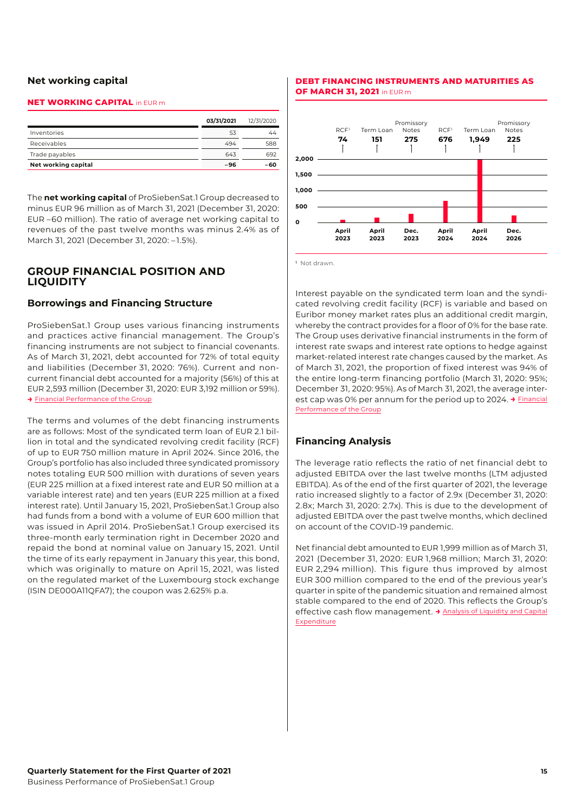## **Net working capital**

## **NET WORKING CAPITAL** in EUR m

|                     | 03/31/2021 | 12/31/2020 |
|---------------------|------------|------------|
| Inventories         | 53         | 44         |
| Receivables         | 494        | 588        |
| Trade payables      | 643        | 692        |
| Net working capital | -96        | -60        |

The **net working capital** of ProSiebenSat.1 Group decreased to minus EUR 96 million as of March 31, 2021 (December 31, 2020: EUR –60 million). The ratio of average net working capital to revenues of the past twelve months was minus 2.4% as of March 31, 2021 (December 31, 2020: – 1.5%).

## <span id="page-14-0"></span>**GROUP FINANCIAL POSITION AND LIQUIDITY**

## <span id="page-14-1"></span>**Borrowings and Financing Structure**

ProSiebenSat.1 Group uses various financing instruments and practices active financial management. The Group's financing instruments are not subject to financial covenants. As of March 31, 2021, debt accounted for 72% of total equity and liabilities (December 31, 2020: 76%). Current and noncurrent financial debt accounted for a majority (56%) of this at EUR 2,593 [million \(December](#page-13-0) 31, 2020: EUR 3,192 million or 59%). **→** [Financial Performance of the Group](#page-13-0)

The terms and volumes of the debt financing instruments are as follows: Most of the syndicated term loan of EUR 2.1 billion in total and the syndicated revolving credit facility (RCF) of up to EUR 750 million mature in April 2024. Since 2016, the Group's portfolio has also included three syndicated promissory notes totaling EUR 500 million with durations of seven years (EUR 225 million at a fixed interest rate and EUR 50 million at a variable interest rate) and ten years (EUR 225 million at a fixed interest rate). Until January 15, 2021, ProSiebenSat.1 Group also had funds from a bond with a volume of EUR 600 million that was issued in April 2014. ProSiebenSat.1 Group exercised its three-month early termination right in December 2020 and repaid the bond at nominal value on January 15, 2021. Until the time of its early repayment in January this year, this bond, which was originally to mature on April 15, 2021, was listed on the regulated market of the Luxembourg stock exchange (ISIN DE000A11QFA7); the coupon was 2.625% p.a.

## **DEBT FINANCING INSTRUMENTS AND MATURITIES AS OF MARCH 31, 2021** in EUR m



**<sup>1</sup>** Not drawn.

Interest payable on the syndicated term loan and the syndicated revolving credit facility (RCF) is variable and based on Euribor money market rates plus an additional credit margin, whereby the contract provides for a floor of 0% for the base rate. The Group uses derivative financial instruments in the form of interest rate swaps and interest rate options to hedge against market-related interest rate changes caused by the market. As of March 31, 2021, the proportion of fixed interest was 94% of the entire long-term financing portfolio (March 31, 2020: 95%; December 31, 2020: 95%). As of March 31, 2021, the average interest cap was 0% per annum for the period up to 2024. **→** Financial [Performance of the Group](#page-13-0)

## **Financing Analysis**

The leverage ratio reflects the ratio of net financial debt to adjusted EBITDA over the last twelve months (LTM adjusted EBITDA). As of the end of the first quarter of 2021, the leverage ratio increased slightly to a factor of 2.9x (December 31, 2020: 2.8x; March 31, 2020: 2.7x). This is due to the development of adjusted EBITDA over the past twelve months, which declined on account of the COVID-19 pandemic.

Net financial debt amounted to EUR 1,999 million as of March 31, 2021 (December 31, 2020: EUR 1,968 million; March 31, 2020: EUR 2,294 million). This figure thus improved by almost EUR 300 million compared to the end of the previous year's quarter in spite of the pandemic situation and remained almost stable compared to the end of 2020. This reflects the Group's effective cash flow management. **→** [Analysis of Liquidity and Capital](#page-15-0)  [Expenditure](#page-15-0)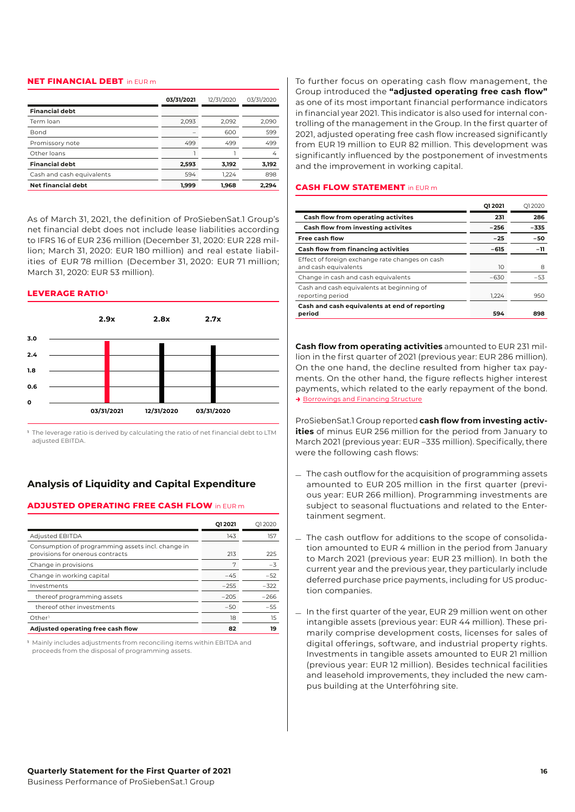## **NET FINANCIAL DEBT** in EUR m

|                           | 03/31/2021 | 12/31/2020 | 03/31/2020 |
|---------------------------|------------|------------|------------|
| <b>Financial debt</b>     |            |            |            |
| Term loan                 | 2.093      | 2.092      | 2.090      |
| <b>Bond</b>               |            | 600        | 599        |
| Promissory note           | 499        | 499        | 499        |
| Other loans               |            |            | 4          |
| <b>Financial debt</b>     | 2,593      | 3,192      | 3,192      |
| Cash and cash equivalents | 594        | 1.224      | 898        |
| <b>Net financial debt</b> | 1.999      | 1.968      | 2.294      |

As of March 31, 2021, the definition of ProSiebenSat.1 Group's net financial debt does not include lease liabilities according to IFRS 16 of EUR 236 million (December 31, 2020: EUR 228 million; March 31, 2020: EUR 180 million) and real estate liabilities of EUR 78 million (December 31, 2020: EUR 71 million; March 31, 2020: EUR 53 million).

## **LEVERAGE RATIO<sup>1</sup>**



**<sup>1</sup>** The leverage ratio is derived by calculating the ratio of net financial debt to LTM adjusted EBITDA.

## <span id="page-15-0"></span>**Analysis of Liquidity and Capital Expenditure**

## **ADJUSTED OPERATING FREE CASH FLOW** in EUR m

|                                                                                       | 012021 | 012020 |
|---------------------------------------------------------------------------------------|--------|--------|
| <b>Adjusted EBITDA</b>                                                                | 143    | 157    |
| Consumption of programming assets incl. change in<br>provisions for onerous contracts | 213    | 225    |
| Change in provisions                                                                  | 7      | $-3$   |
| Change in working capital                                                             | $-45$  | $-52$  |
| Investments                                                                           | $-255$ | $-322$ |
| thereof programming assets                                                            | $-205$ | $-266$ |
| thereof other investments                                                             | $-50$  | $-55$  |
| Other <sup>1</sup>                                                                    | 18     | 15     |
| Adjusted operating free cash flow                                                     | 82     | 19     |

**<sup>1</sup>** Mainly includes adjustments from reconciling items within EBITDA and proceeds from the disposal of programming assets.

To further focus on operating cash flow management, the Group introduced the **"adjusted operating free cash flow"** as one of its most important financial performance indicators in financial year 2021. This indicator is also used for internal controlling of the management in the Group. In the first quarter of 2021, adjusted operating free cash flow increased significantly from EUR 19 million to EUR 82 million. This development was significantly influenced by the postponement of investments and the improvement in working capital.

#### **CASH FLOW STATEMENT** in EUR m

|                                                                         | 012021 | O12020 |
|-------------------------------------------------------------------------|--------|--------|
| <b>Cash flow from operating activites</b>                               | 231    | 286    |
| Cash flow from investing activites                                      | $-256$ | $-335$ |
| <b>Free cash flow</b>                                                   | $-25$  | -50    |
| <b>Cash flow from financing activities</b>                              | $-615$ | $-11$  |
| Effect of foreign exchange rate changes on cash<br>and cash equivalents | 10     | 8      |
| Change in cash and cash equivalents                                     | $-630$ | $-53$  |
| Cash and cash equivalents at beginning of<br>reporting period           | 1.224  | 950    |
| Cash and cash equivalents at end of reporting<br>period                 | 594    | 898    |

**Cash flow from operating activities** amounted to EUR 231 million in the first quarter of 2021 (previous year: EUR 286 million). On the one hand, the decline resulted from higher tax payments. On the other hand, the figure reflects higher interest payments, which related to the early repayment of the bond. **→** [Borrowings and Financing Structure](#page-14-1)

ProSiebenSat.1 Group reported **cash flow from investing activities** of minus EUR 256 million for the period from January to March 2021 (previous year: EUR –335 million). Specifically, there were the following cash flows:

- $\overline{-}$  The cash outflow for the acquisition of programming assets amounted to EUR 205 million in the first quarter (previous year: EUR 266 million). Programming investments are subject to seasonal fluctuations and related to the Entertainment segment.
- \_ The cash outflow for additions to the scope of consolidation amounted to EUR 4 million in the period from January to March 2021 (previous year: EUR 23 million). In both the current year and the previous year, they particularly include deferred purchase price payments, including for US production companies.
- \_ In the first quarter of the year, EUR <sup>29</sup> million went on other intangible assets (previous year: EUR 44 million). These primarily comprise development costs, licenses for sales of digital offerings, software, and industrial property rights. Investments in tangible assets amounted to EUR 21 million (previous year: EUR 12 million). Besides technical facilities and leasehold improvements, they included the new campus building at the Unterföhring site.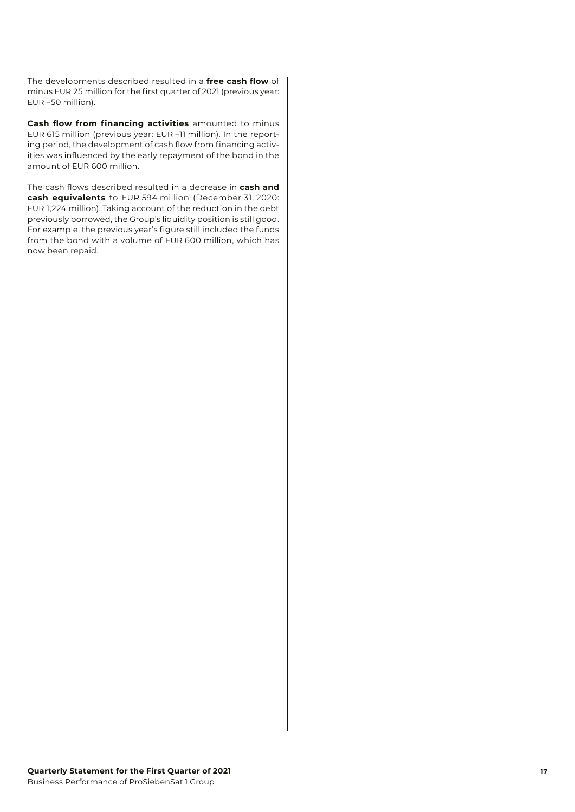The developments described resulted in a **free cash flow** of minus EUR 25 million for the first quarter of 2021 (previous year: EUR –50 million).

**Cash flow from financing activities** amounted to minus EUR 615 million (previous year: EUR –11 million). In the reporting period, the development of cash flow from financing activities was influenced by the early repayment of the bond in the amount of EUR 600 million.

The cash flows described resulted in a decrease in **cash and cash equivalents** to EUR 594 million (December 31, 2020: EUR 1,224 million). Taking account of the reduction in the debt previously borrowed, the Group's liquidity position is still good. For example, the previous year's figure still included the funds from the bond with a volume of EUR 600 million, which has now been repaid.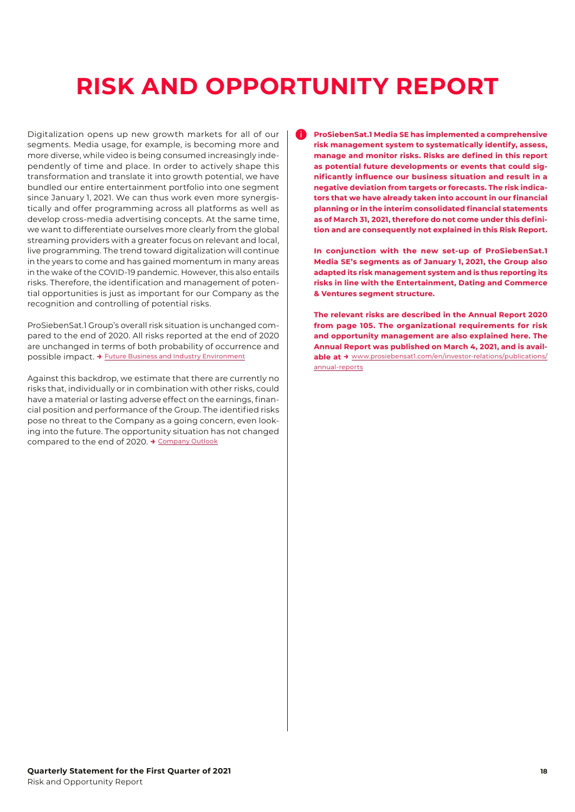# <span id="page-17-0"></span>**RISK AND OPPORTUNITY REPORT**

Digitalization opens up new growth markets for all of our segments. Media usage, for example, is becoming more and more diverse, while video is being consumed increasingly independently of time and place. In order to actively shape this transformation and translate it into growth potential, we have bundled our entire entertainment portfolio into one segment since January 1, 2021. We can thus work even more synergistically and offer programming across all platforms as well as develop cross-media advertising concepts. At the same time, we want to differentiate ourselves more clearly from the global streaming providers with a greater focus on relevant and local, live programming. The trend toward digitalization will continue in the years to come and has gained momentum in many areas in the wake of the COVID-19 pandemic. However, this also entails risks. Therefore, the identification and management of potential opportunities is just as important for our Company as the recognition and controlling of potential risks.

ProSiebenSat.1 Group's overall risk situation is unchanged compared to the end of 2020. All risks reported at the end of 2020 are unchanged in terms of both probability of occurrence and possible impact. **→** [Future Business and Industry Environment](#page-18-1)

Against this backdrop, we estimate that there are currently no risks that, individually or in combination with other risks, could have a material or lasting adverse effect on the earnings, financial position and performance of the Group. The identified risks pose no threat to the Company as a going concern, even looking into the future. The opportunity situation has not changed compared to the end of 2020. **→** [Company Outlook](#page-19-0)

i **ProSiebenSat.1 Media SE has implemented a comprehensive risk management system to systematically identify, assess, manage and monitor risks. Risks are defined in this report as potential future developments or events that could significantly influence our business situation and result in a negative deviation from targets or forecasts. The risk indicators that we have already taken into account in our financial planning or in the interim consolidated financial statements as of March 31, 2021, therefore do not come under this definition and are consequently not explained in this Risk Report.** 

 **In conjunction with the new set-up of ProSiebenSat.1 Media SE's segments as of January 1, 2021, the Group also adapted its risk management system and is thus reporting its risks in line with the Entertainment, Dating and Commerce & Ventures segment structure.** 

 **The relevant risks are described in the Annual Report 2020 from page 105. The organizational requirements for risk and opportunity management are also explained here. The Annual Report was published on March 4, 2021, and is available at →** [www.prosiebensat1.com/en/investor-relations/publications/](https://www.prosiebensat1.com/en/investor-relations/publications/annual-reports) [annual-reports](https://www.prosiebensat1.com/en/investor-relations/publications/annual-reports)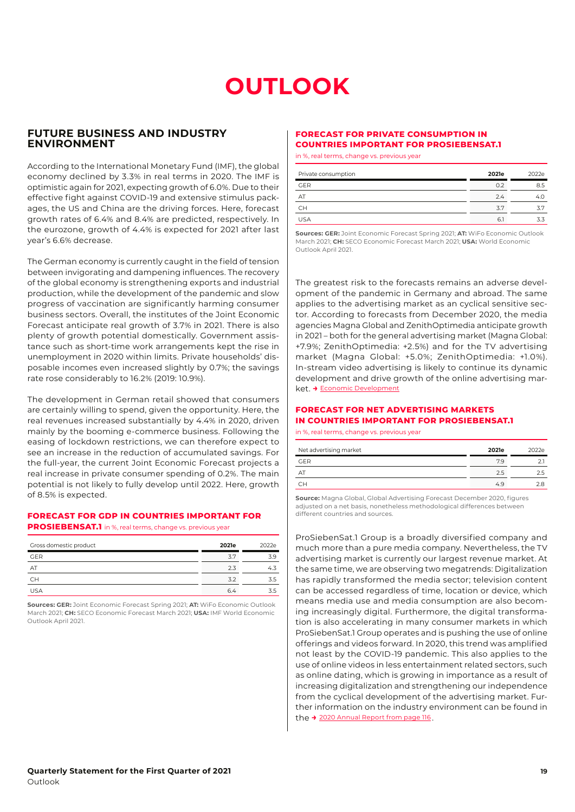# **OUTLOOK**

## <span id="page-18-1"></span>**FUTURE BUSINESS AND INDUSTRY ENVIRONMENT**

According to the International Monetary Fund (IMF), the global economy declined by 3.3% in real terms in 2020. The IMF is optimistic again for 2021, expecting growth of 6.0%. Due to their effective fight against COVID-19 and extensive stimulus packages, the US and China are the driving forces. Here, forecast growth rates of 6.4% and 8.4% are predicted, respectively. In the eurozone, growth of 4.4% is expected for 2021 after last year's 6.6% decrease.

The German economy is currently caught in the field of tension between invigorating and dampening influences. The recovery of the global economy is strengthening exports and industrial production, while the development of the pandemic and slow progress of vaccination are significantly harming consumer business sectors. Overall, the institutes of the Joint Economic Forecast anticipate real growth of 3.7% in 2021. There is also plenty of growth potential domestically. Government assistance such as short-time work arrangements kept the rise in unemployment in 2020 within limits. Private households' disposable incomes even increased slightly by 0.7%; the savings rate rose considerably to 16.2% (2019: 10.9%).

The development in German retail showed that consumers are certainly willing to spend, given the opportunity. Here, the real revenues increased substantially by 4.4% in 2020, driven mainly by the booming e-commerce business. Following the easing of lockdown restrictions, we can therefore expect to see an increase in the reduction of accumulated savings. For the full-year, the current Joint Economic Forecast projects a real increase in private consumer spending of 0.2%. The main potential is not likely to fully develop until 2022. Here, growth of 8.5% is expected.

## **FORECAST FOR GDP IN COUNTRIES IMPORTANT FOR**

**PROSIEBENSAT.1** in %, real terms, change vs. previous year

| Gross domestic product | 2021e | 2022e |
|------------------------|-------|-------|
| <b>GER</b>             | 3.7   | 3.9   |
| AΤ                     | 2.3   | 4.3   |
| CН                     | 3.2   | 3.5   |
| <b>USA</b>             | 6.4   | 3.5   |

**Sources: GER:** Joint Economic Forecast Spring 2021; **AT:** WiFo Economic Outlook March 2021; **CH:** SECO Economic Forecast March 2021; **USA:** IMF World Economic Outlook April 2021.

## <span id="page-18-0"></span>**FORECAST FOR PRIVATE CONSUMPTION IN COUNTRIES IMPORTANT FOR PROSIEBENSAT.1**

in %, real terms, change vs. previous year

| Private consumption | 2021e | 2022e |
|---------------------|-------|-------|
| <b>GER</b>          | 0.2   | 8.5   |
| AT                  | 2.4   | 4.0   |
| <b>CH</b>           | 3.7   | 3.7   |
| <b>USA</b>          | 6.    | 3.3   |

**Sources: GER:** Joint Economic Forecast Spring 2021; **AT:** WiFo Economic Outlook March 2021; **CH:** SECO Economic Forecast March 2021; **USA:** World Economic Outlook April 2021.

The greatest risk to the forecasts remains an adverse development of the pandemic in Germany and abroad. The same applies to the advertising market as an cyclical sensitive sector. According to forecasts from December 2020, the media agencies Magna Global and ZenithOptimedia anticipate growth in 2021 – both for the general advertising market (Magna Global: +7.9%; ZenithOptimedia: +2.5%) and for the TV advertising market (Magna Global: +5.0%; ZenithOptimedia: +1.0%). In-stream video advertising is likely to continue its dynamic development and drive growth of the online advertising market. **→** [Economic Development](#page-6-2)

#### **FORECAST FOR NET ADVERTISING MARKETS IN COUNTRIES IMPORTANT FOR PROSIEBENSAT.1**

in %, real terms, change vs. previous year

| Net advertising market | 2021e | 2022e |
|------------------------|-------|-------|
| <b>GER</b>             | 7.9   |       |
| ΑI                     | 2.5   |       |
| CН                     | 4.9   | າ ຂ   |

**Source:** Magna Global, Global Advertising Forecast December 2020, figures adjusted on a net basis, nonetheless methodological differences between different countries and sources.

ProSiebenSat.1 Group is a broadly diversified company and much more than a pure media company. Nevertheless, the TV advertising market is currently our largest revenue market. At the same time, we are observing two megatrends: Digitalization has rapidly transformed the media sector; television content can be accessed regardless of time, location or device, which means media use and media consumption are also becoming increasingly digital. Furthermore, the digital transformation is also accelerating in many consumer markets in which ProSiebenSat.1 Group operates and is pushing the use of online offerings and videos forward. In 2020, this trend was amplified not least by the COVID-19 pandemic. This also applies to the use of online videos in less entertainment related sectors, such as online dating, which is growing in importance as a result of increasing digitalization and strengthening our independence from the cyclical development of the advertising market. Further information on the industry environment can be found in the **→** [2020 Annual Report from page 116](https://annual-report2020.prosiebensat1.com/servicepages/downloads/files/outlook-p7s1-ar20.pdf) .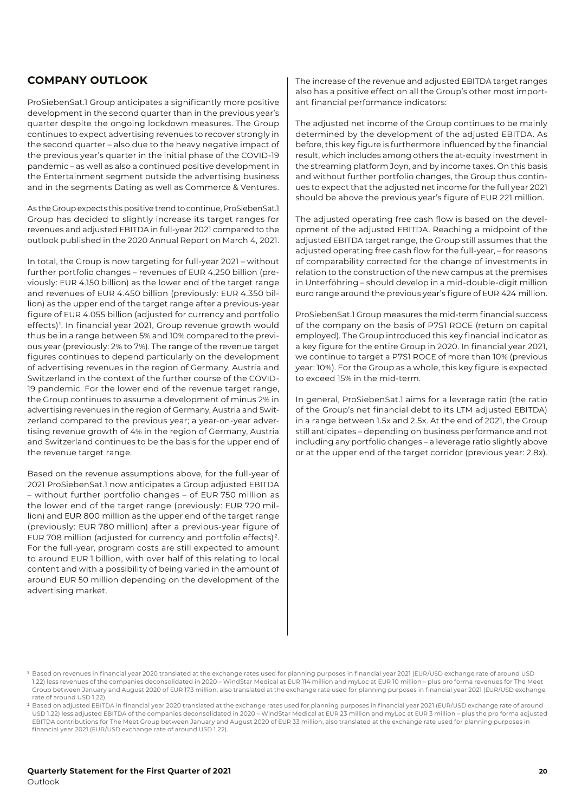## <span id="page-19-0"></span>**COMPANY OUTLOOK**

ProSiebenSat.1 Group anticipates a significantly more positive development in the second quarter than in the previous year's quarter despite the ongoing lockdown measures. The Group continues to expect advertising revenues to recover strongly in the second quarter – also due to the heavy negative impact of the previous year's quarter in the initial phase of the COVID-19 pandemic – as well as also a continued positive development in the Entertainment segment outside the advertising business and in the segments Dating as well as Commerce & Ventures.

As the Group expects this positive trend to continue, ProSiebenSat.1 Group has decided to slightly increase its target ranges for revenues and adjusted EBITDA in full-year 2021 compared to the outlook published in the 2020 Annual Report on March 4, 2021.

In total, the Group is now targeting for full-year 2021 – without further portfolio changes – revenues of EUR 4.250 billion (previously: EUR 4.150 billion) as the lower end of the target range and revenues of EUR 4.450 billion (previously: EUR 4.350 billion) as the upper end of the target range after a previous-year figure of EUR 4.055 billion (adjusted for currency and portfolio effects)<sup>1</sup>. In financial year 2021, Group revenue growth would thus be in a range between 5% and 10% compared to the previous year (previously: 2% to 7%). The range of the revenue target figures continues to depend particularly on the development of advertising revenues in the region of Germany, Austria and Switzerland in the context of the further course of the COVID-19 pandemic. For the lower end of the revenue target range, the Group continues to assume a development of minus 2% in advertising revenues in the region of Germany, Austria and Switzerland compared to the previous year; a year-on-year advertising revenue growth of 4% in the region of Germany, Austria and Switzerland continues to be the basis for the upper end of the revenue target range.

Based on the revenue assumptions above, for the full-year of 2021 ProSiebenSat.1 now anticipates a Group adjusted EBITDA – without further portfolio changes – of EUR 750 million as the lower end of the target range (previously: EUR 720 million) and EUR 800 million as the upper end of the target range (previously: EUR 780 million) after a previous-year figure of EUR 708 million (adjusted for currency and portfolio effects) 2. For the full-year, program costs are still expected to amount to around EUR 1 billion, with over half of this relating to local content and with a possibility of being varied in the amount of around EUR 50 million depending on the development of the advertising market.

The increase of the revenue and adjusted EBITDA target ranges also has a positive effect on all the Group's other most important financial performance indicators:

The adjusted net income of the Group continues to be mainly determined by the development of the adjusted EBITDA. As before, this key figure is furthermore influenced by the financial result, which includes among others the at-equity investment in the streaming platform Joyn, and by income taxes. On this basis and without further portfolio changes, the Group thus continues to expect that the adjusted net income for the full year 2021 should be above the previous year's figure of EUR 221 million.

The adjusted operating free cash flow is based on the development of the adjusted EBITDA. Reaching a midpoint of the adjusted EBITDA target range, the Group still assumes that the adjusted operating free cash flow for the full-year, – for reasons of comparability corrected for the change of investments in relation to the construction of the new campus at the premises in Unterföhring – should develop in a mid-double-digit million euro range around the previous year's figure of EUR 424 million.

ProSiebenSat.1 Group measures the mid-term financial success of the company on the basis of P7S1 ROCE (return on capital employed). The Group introduced this key financial indicator as a key figure for the entire Group in 2020. In financial year 2021, we continue to target a P7S1 ROCE of more than 10% (previous year: 10%). For the Group as a whole, this key figure is expected to exceed 15% in the mid-term.

In general, ProSiebenSat.1 aims for a leverage ratio (the ratio of the Group's net financial debt to its LTM adjusted EBITDA) in a range between 1.5x and 2.5x. At the end of 2021, the Group still anticipates – depending on business performance and not including any portfolio changes – a leverage ratio slightly above or at the upper end of the target corridor (previous year: 2.8x).

**<sup>1</sup>** Based on revenues in financial year 2020 translated at the exchange rates used for planning purposes in financial year 2021 (EUR/USD exchange rate of around USD 1.22) less revenues of the companies deconsolidated in 2020 – WindStar Medical at EUR 114 million and myLoc at EUR 10 million – plus pro forma revenues for The Meet Group between January and August 2020 of EUR 173 million, also translated at the exchange rate used for planning purposes in financial year 2021 (EUR/USD exchange rate of around USD 1.22).

**<sup>2</sup>** Based on adjusted EBITDA in financial year 2020 translated at the exchange rates used for planning purposes in financial year 2021 (EUR/USD exchange rate of around USD 1.22) less adjusted EBITDA of the companies deconsolidated in 2020 – WindStar Medical at EUR 23 million and myLoc at EUR 3 million – plus the pro forma adjusted EBITDA contributions for The Meet Group between January and August 2020 of EUR 33 million, also translated at the exchange rate used for planning purposes in financial year 2021 (EUR/USD exchange rate of around USD 1.22).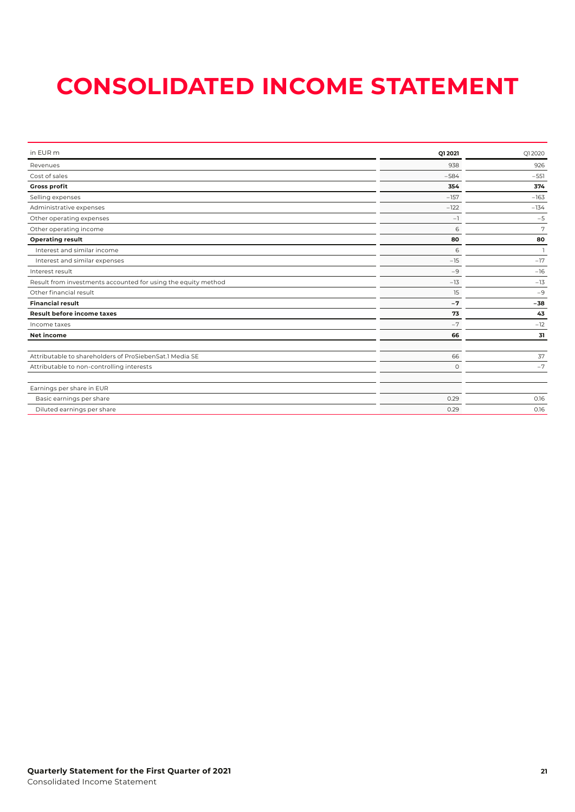# <span id="page-20-0"></span>**CONSOLIDATED INCOME STATEMENT**

| Q1 2021 | Q12020         |
|---------|----------------|
| 938     | 926            |
| $-584$  | $-551$         |
| 354     | 374            |
| $-157$  | $-163$         |
| $-122$  | $-134$         |
| $-1$    | $-5$           |
| 6       | 7              |
| 80      | 80             |
| 6       | $\overline{1}$ |
| $-15$   | $-17$          |
| $-9$    | $-16$          |
| $-13$   | $-13$          |
| 15      | $-9$           |
| $-7$    | $-38$          |
| 73      | 43             |
| $-7$    | $-12$          |
| 66      | 31             |
|         |                |
| 66      | 37             |
| $\circ$ | $-7$           |
|         |                |
| 0.29    | 0.16           |
| 0.29    | 0.16           |
|         |                |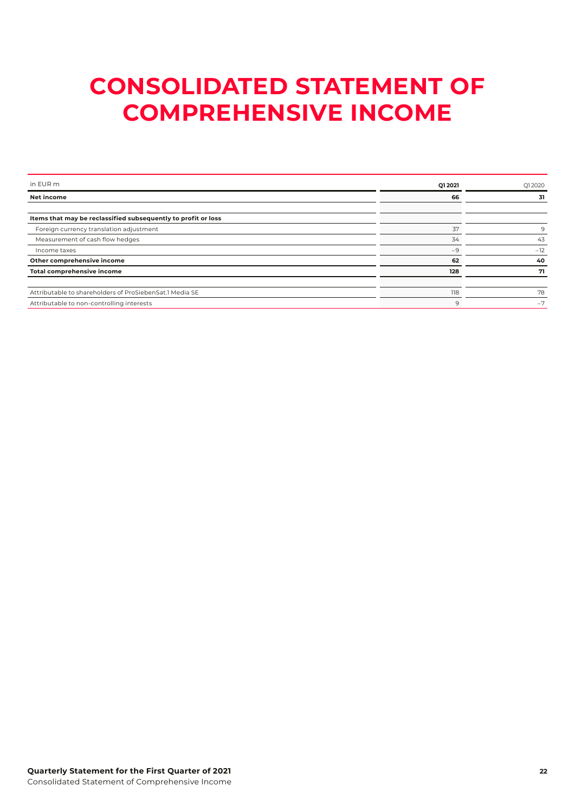# <span id="page-21-0"></span>**CONSOLIDATED STATEMENT OF COMPREHENSIVE INCOME**

| in EUR m                                                      | Q1 2021 | Q12020 |
|---------------------------------------------------------------|---------|--------|
| <b>Net income</b>                                             | 66      | 31     |
|                                                               |         |        |
| Items that may be reclassified subsequently to profit or loss |         |        |
| Foreign currency translation adjustment                       | 37      | 9      |
| Measurement of cash flow hedges                               | 34      | 43     |
| Income taxes                                                  | $-9$    | $-12$  |
| Other comprehensive income                                    | 62      | 40     |
| Total comprehensive income                                    | 128     | 71     |
|                                                               |         |        |
| Attributable to shareholders of ProSiebenSat.1 Media SE       | 118     | 78     |
| Attributable to non-controlling interests                     | 9       | $-7$   |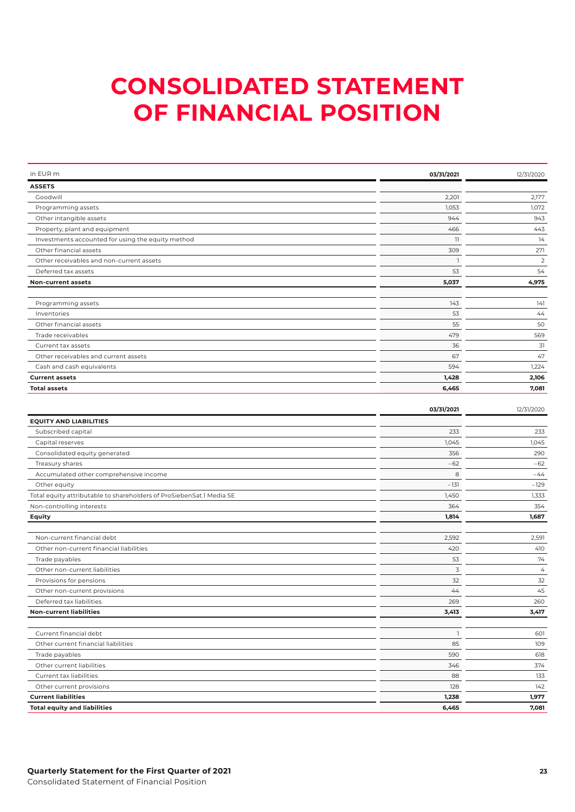# <span id="page-22-0"></span>**CONSOLIDATED STATEMENT OF FINANCIAL POSITION**

| in EUR m                                          | 03/31/2021     | 12/31/2020     |
|---------------------------------------------------|----------------|----------------|
| <b>ASSETS</b>                                     |                |                |
| Goodwill                                          | 2.201          | 2,177          |
| Programming assets                                | 1.053          | 1,072          |
| Other intangible assets                           | 944            | 943            |
| Property, plant and equipment                     | 466            | 443            |
| Investments accounted for using the equity method | $\overline{1}$ | 14             |
| Other financial assets                            | 309            | 271            |
| Other receivables and non-current assets          |                | $\overline{2}$ |
| Deferred tax assets                               | 53             | 54             |
| <b>Non-current assets</b>                         | 5,037          | 4,975          |
|                                                   |                |                |
| Programming assets                                | 143            | 141            |
| Inventories                                       | 53             | 44             |
| Other financial assets                            | 55             | 50             |
| Trade receivables                                 | 479            | 569            |
| Current tax assets                                | 36             | 31             |
| Other receivables and current assets              | 67             | 47             |
| Cash and cash equivalents                         | 594            | 1,224          |
| <b>Current assets</b>                             | 1,428          | 2,106          |
| <b>Total assets</b>                               | 6,465          | 7,081          |
|                                                   |                |                |
|                                                   | 03/31/2021     | 12/31/2020     |
| <b>EQUITY AND LIABILITIES</b>                     |                |                |
| Subscribed capital                                | 233            | 233            |
| Capital reserves                                  | 1,045          | 1,045          |

| <b>Total equity and liabilities</b>                                  | 6,465  | 7,081  |
|----------------------------------------------------------------------|--------|--------|
| <b>Current liabilities</b>                                           | 1,238  | 1,977  |
| Other current provisions                                             | 128    | 142    |
| Current tax liabilities                                              | 88     | 133    |
| Other current liabilities                                            | 346    | 374    |
| Trade payables                                                       | 590    | 618    |
| Other current financial liabilities                                  | 85     | 109    |
| Current financial debt                                               |        | 601    |
| <b>Non-current liabilities</b>                                       | 3,413  | 3,417  |
| Deferred tax liabilities                                             | 269    | 260    |
| Other non-current provisions                                         | 44     | 45     |
| Provisions for pensions                                              | 32     | 32     |
| Other non-current liabilities                                        | 3      | 4      |
| Trade payables                                                       | 53     | 74     |
| Other non-current financial liabilities                              | 420    | 410    |
| Non-current financial debt                                           | 2,592  | 2,591  |
| Equity                                                               | 1,814  | 1,687  |
| Non-controlling interests                                            | 364    | 354    |
| Total equity attributable to shareholders of ProSiebenSat.1 Media SE | 1,450  | 1.333  |
| Other equity                                                         | $-131$ | $-129$ |
| Accumulated other comprehensive income                               | 8      | $-44$  |
| Treasury shares                                                      | $-62$  | $-62$  |
| Consolidated equity generated                                        | 356    | 290    |
| Capital reserves                                                     | 1.045  | 1.045  |
| Supscribed capital                                                   | ر رے   | درے    |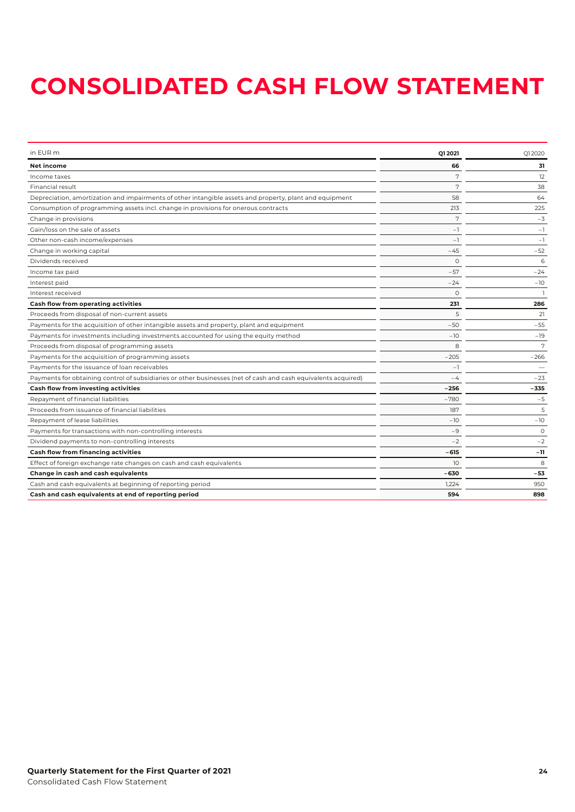# <span id="page-23-0"></span>**CONSOLIDATED CASH FLOW STATEMENT**

| in EUR m                                                                                                       | Q1 2021  | Q12020   |
|----------------------------------------------------------------------------------------------------------------|----------|----------|
| Net income                                                                                                     | 66       | 31       |
| Income taxes                                                                                                   | 7        | 12       |
| Financial result                                                                                               | 7        | 38       |
| Depreciation, amortization and impairments of other intangible assets and property, plant and equipment        | 58       | 64       |
| Consumption of programming assets incl. change in provisions for onerous contracts                             | 213      | 225      |
| Change in provisions                                                                                           | 7        | $-3$     |
| Gain/loss on the sale of assets                                                                                | $-1$     | $-1$     |
| Other non-cash income/expenses                                                                                 | $-1$     | $-1$     |
| Change in working capital                                                                                      | $-45$    | $-52$    |
| Dividends received                                                                                             | $\Omega$ | 6        |
| Income tax paid                                                                                                | $-57$    | $-24$    |
| Interest paid                                                                                                  | $-24$    | $-10$    |
| Interest received                                                                                              | $\Omega$ |          |
| Cash flow from operating activities                                                                            | 231      | 286      |
| Proceeds from disposal of non-current assets                                                                   | 5        | 21       |
| Payments for the acquisition of other intangible assets and property, plant and equipment                      | $-50$    | $-55$    |
| Payments for investments including investments accounted for using the equity method                           | $-10$    | $-19$    |
| Proceeds from disposal of programming assets                                                                   | 8        | 7        |
| Payments for the acquisition of programming assets                                                             | $-205$   | $-266$   |
| Payments for the issuance of loan receivables                                                                  | $-1$     |          |
| Payments for obtaining control of subsidiaries or other businesses (net of cash and cash equivalents acquired) | -4       | $-23$    |
| Cash flow from investing activities                                                                            | $-256$   | -335     |
| Repayment of financial liabilities                                                                             | $-780$   | $-5$     |
| Proceeds from issuance of financial liabilities                                                                | 187      | 5        |
| Repayment of lease liabilities                                                                                 | $-10$    | $-10$    |
| Payments for transactions with non-controlling interests                                                       | -9       | $\Omega$ |
| Dividend payments to non-controlling interests                                                                 | $-2$     | $-2$     |
| Cash flow from financing activities                                                                            | $-615$   | -11      |
| Effect of foreign exchange rate changes on cash and cash equivalents                                           | 10       | 8        |
| Change in cash and cash equivalents                                                                            | -630     | $-53$    |
| Cash and cash equivalents at beginning of reporting period                                                     | 1,224    | 950      |
| Cash and cash equivalents at end of reporting period                                                           | 594      | 898      |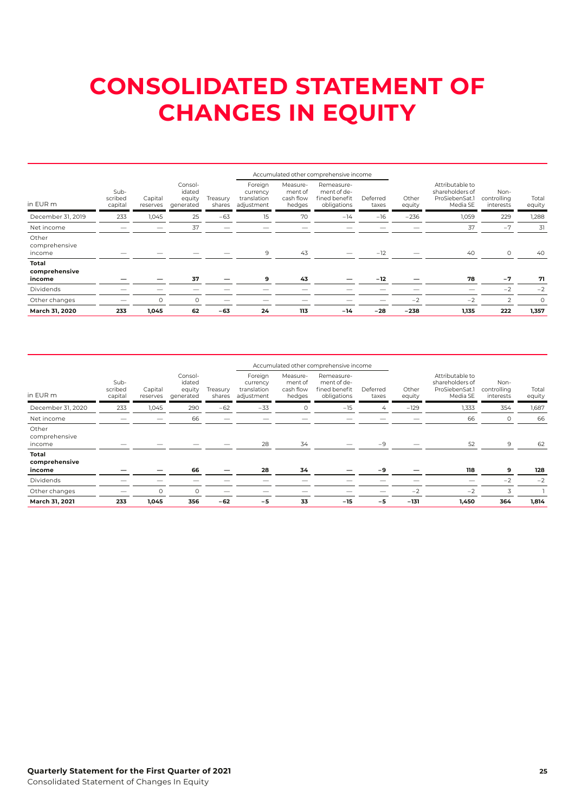# <span id="page-24-0"></span>**CONSOLIDATED STATEMENT OF CHANGES IN EQUITY**

|                                  |                            |                     |                                          |                    |                                                  |                                            | Accumulated other comprehensive income                    |                   |                 |                                                                  |                                  |                 |
|----------------------------------|----------------------------|---------------------|------------------------------------------|--------------------|--------------------------------------------------|--------------------------------------------|-----------------------------------------------------------|-------------------|-----------------|------------------------------------------------------------------|----------------------------------|-----------------|
| in EUR m                         | Sub-<br>scribed<br>capital | Capital<br>reserves | Consol-<br>idated<br>equity<br>generated | Treasurv<br>shares | Foreign<br>currency<br>translation<br>adjustment | Measure-<br>ment of<br>cash flow<br>hedges | Remeasure-<br>ment of de-<br>fined benefit<br>obligations | Deferred<br>taxes | Other<br>equity | Attributable to<br>shareholders of<br>ProSiebenSat.1<br>Media SE | Non-<br>controlling<br>interests | Total<br>equity |
| December 31, 2019                | 233                        | 1,045               | 25                                       | $-63$              | 15                                               | 70                                         | $-14$                                                     | $-16$             | $-236$          | 1,059                                                            | 229                              | 1,288           |
| Net income                       |                            |                     | 37                                       |                    |                                                  |                                            |                                                           |                   |                 | 37                                                               | $-7$                             | 31              |
| Other<br>comprehensive<br>income |                            |                     |                                          |                    | 9                                                | 43                                         |                                                           | $-12$             |                 | 40                                                               | $\circ$                          | 40              |
| Total<br>comprehensive<br>income |                            |                     | 37                                       |                    | 9                                                | 43                                         |                                                           | $-12$             |                 | 78                                                               | $-7$                             | 71              |
| Dividends                        |                            |                     |                                          |                    |                                                  |                                            |                                                           |                   |                 |                                                                  | $-2$                             | $-2$            |
| Other changes                    |                            | $\Omega$            | O                                        |                    |                                                  |                                            |                                                           |                   | $-2$            | $-2$                                                             | 2                                | $\circ$         |
| March 31, 2020                   | 233                        | 1.045               | 62                                       | $-63$              | 24                                               | 113                                        | $-14$                                                     | $-28$             | $-238$          | 1,135                                                            | 222                              | 1,357           |

|                                  |                            |                     |                                          |                    |                                                  |                                            | Accumulated other comprehensive income                    |                   |                 |                                                                  |                                  |                 |  |
|----------------------------------|----------------------------|---------------------|------------------------------------------|--------------------|--------------------------------------------------|--------------------------------------------|-----------------------------------------------------------|-------------------|-----------------|------------------------------------------------------------------|----------------------------------|-----------------|--|
| in EUR m                         | Sub-<br>scribed<br>capital | Capital<br>reserves | Consol-<br>idated<br>equity<br>generated | Treasury<br>shares | Foreign<br>currency<br>translation<br>adjustment | Measure-<br>ment of<br>cash flow<br>hedges | Remeasure-<br>ment of de-<br>fined benefit<br>obligations | Deferred<br>taxes | Other<br>equity | Attributable to<br>shareholders of<br>ProSiebenSat.1<br>Media SE | Non-<br>controlling<br>interests | Total<br>equity |  |
| December 31, 2020                | 233                        | 1,045               | 290                                      | $-62$              | $-33$                                            | O                                          | $-15$                                                     | 4                 | $-129$          | 1,333                                                            | 354                              | 1,687           |  |
| Net income                       |                            |                     | 66                                       |                    | __                                               |                                            |                                                           |                   |                 | 66                                                               | $\circ$                          | 66              |  |
| Other<br>comprehensive<br>income |                            |                     |                                          |                    | 28                                               | 34                                         |                                                           | $-9$              |                 | 52                                                               | 9                                | 62              |  |
| Total<br>comprehensive<br>income |                            |                     | 66                                       |                    | 28                                               | 34                                         |                                                           | -9                |                 | 118                                                              | 9                                | 128             |  |
| <b>Dividends</b>                 |                            |                     |                                          |                    |                                                  |                                            |                                                           |                   |                 | –                                                                | $-2$                             | $-2$            |  |
| Other changes                    |                            | $\Omega$            | 0                                        |                    |                                                  |                                            |                                                           |                   | $-2$            | $-2$                                                             | 3                                |                 |  |
| March 31, 2021                   | 233                        | 1,045               | 356                                      | $-62$              | $-5$                                             | 33                                         | $-15$                                                     | $-5$              | $-131$          | 1,450                                                            | 364                              | 1,814           |  |